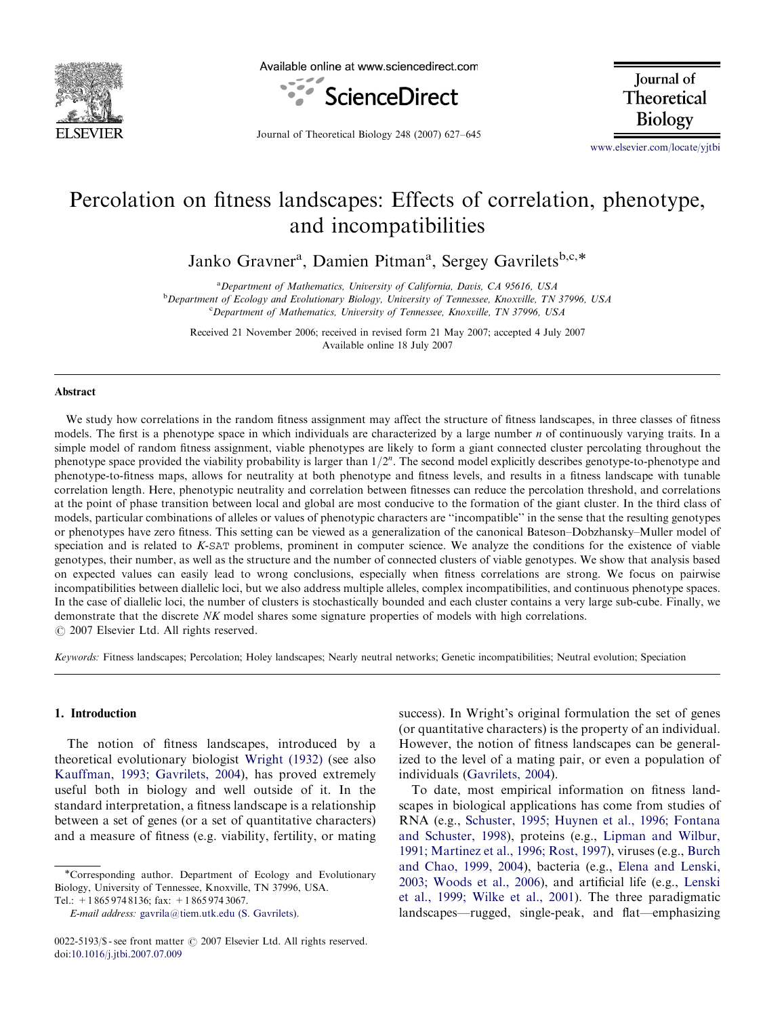

Available online at www.sciencedirect.com



Journal of Theoretical Biology

Journal of Theoretical Biology 248 (2007) 627–645

<www.elsevier.com/locate/yjtbi>

# Percolation on fitness landscapes: Effects of correlation, phenotype, and incompatibilities

Janko Gravner<sup>a</sup>, Damien Pitman<sup>a</sup>, Sergey Gavrilets<sup>b,c,\*</sup>

<sup>a</sup>Department of Mathematics, University of California, Davis, CA 95616, USA <sup>b</sup>Department of Ecology and Evolutionary Biology, University of Tennessee, Knoxville, TN 37996, USA

<sup>c</sup>Department of Mathematics, University of Tennessee, Knoxville, TN 37996, USA

Received 21 November 2006; received in revised form 21 May 2007; accepted 4 July 2007 Available online 18 July 2007

#### Abstract

We study how correlations in the random fitness assignment may affect the structure of fitness landscapes, in three classes of fitness models. The first is a phenotype space in which individuals are characterized by a large number  $n$  of continuously varying traits. In a simple model of random fitness assignment, viable phenotypes are likely to form a giant connected cluster percolating throughout the phenotype space provided the viability probability is larger than  $1/2^n$ . The second model explicitly describes genotype-to-phenotype and phenotype-to-fitness maps, allows for neutrality at both phenotype and fitness levels, and results in a fitness landscape with tunable correlation length. Here, phenotypic neutrality and correlation between fitnesses can reduce the percolation threshold, and correlations at the point of phase transition between local and global are most conducive to the formation of the giant cluster. In the third class of models, particular combinations of alleles or values of phenotypic characters are ''incompatible'' in the sense that the resulting genotypes or phenotypes have zero fitness. This setting can be viewed as a generalization of the canonical Bateson–Dobzhansky–Muller model of speciation and is related to K-SAT problems, prominent in computer science. We analyze the conditions for the existence of viable genotypes, their number, as well as the structure and the number of connected clusters of viable genotypes. We show that analysis based on expected values can easily lead to wrong conclusions, especially when fitness correlations are strong. We focus on pairwise incompatibilities between diallelic loci, but we also address multiple alleles, complex incompatibilities, and continuous phenotype spaces. In the case of diallelic loci, the number of clusters is stochastically bounded and each cluster contains a very large sub-cube. Finally, we demonstrate that the discrete NK model shares some signature properties of models with high correlations.  $\odot$  2007 Elsevier Ltd. All rights reserved.

Keywords: Fitness landscapes; Percolation; Holey landscapes; Nearly neutral networks; Genetic incompatibilities; Neutral evolution; Speciation

# 1. Introduction

The notion of fitness landscapes, introduced by a theoretical evolutionary biologist [Wright \(1932\)](#page-18-0) (see also [Kauffman, 1993; Gavrilets, 2004\)](#page-17-0), has proved extremely useful both in biology and well outside of it. In the standard interpretation, a fitness landscape is a relationship between a set of genes (or a set of quantitative characters) and a measure of fitness (e.g. viability, fertility, or mating success). In Wright's original formulation the set of genes (or quantitative characters) is the property of an individual. However, the notion of fitness landscapes can be generalized to the level of a mating pair, or even a population of individuals ([Gavrilets, 2004\)](#page-17-0).

To date, most empirical information on fitness landscapes in biological applications has come from studies of RNA (e.g., [Schuster, 1995; Huynen et al., 1996; Fontana](#page-18-0) [and Schuster, 1998\)](#page-18-0), proteins (e.g., [Lipman and Wilbur,](#page-17-0) [1991; Martinez et al., 1996; Rost, 1997\)](#page-17-0), viruses (e.g., [Burch](#page-17-0) [and Chao, 1999, 2004\)](#page-17-0), bacteria (e.g., [Elena and Lenski,](#page-17-0) [2003; Woods et al., 2006\)](#page-17-0), and artificial life (e.g., [Lenski](#page-17-0) [et al., 1999; Wilke et al., 2001\)](#page-17-0). The three paradigmatic landscapes—rugged, single-peak, and flat—emphasizing

<sup>\*</sup>Corresponding author. Department of Ecology and Evolutionary Biology, University of Tennessee, Knoxville, TN 37996, USA. Tel.: +1 865 974 8136; fax: +1 865 974 3067.

E-mail address: [gavrila@tiem.utk.edu \(S. Gavrilets\).](mailto:gavrila@tiem.utk.edu)

<sup>0022-5193/\$ -</sup> see front matter © 2007 Elsevier Ltd. All rights reserved. doi:[10.1016/j.jtbi.2007.07.009](dx.doi.org/10.1016/j.jtbi.2007.07.009)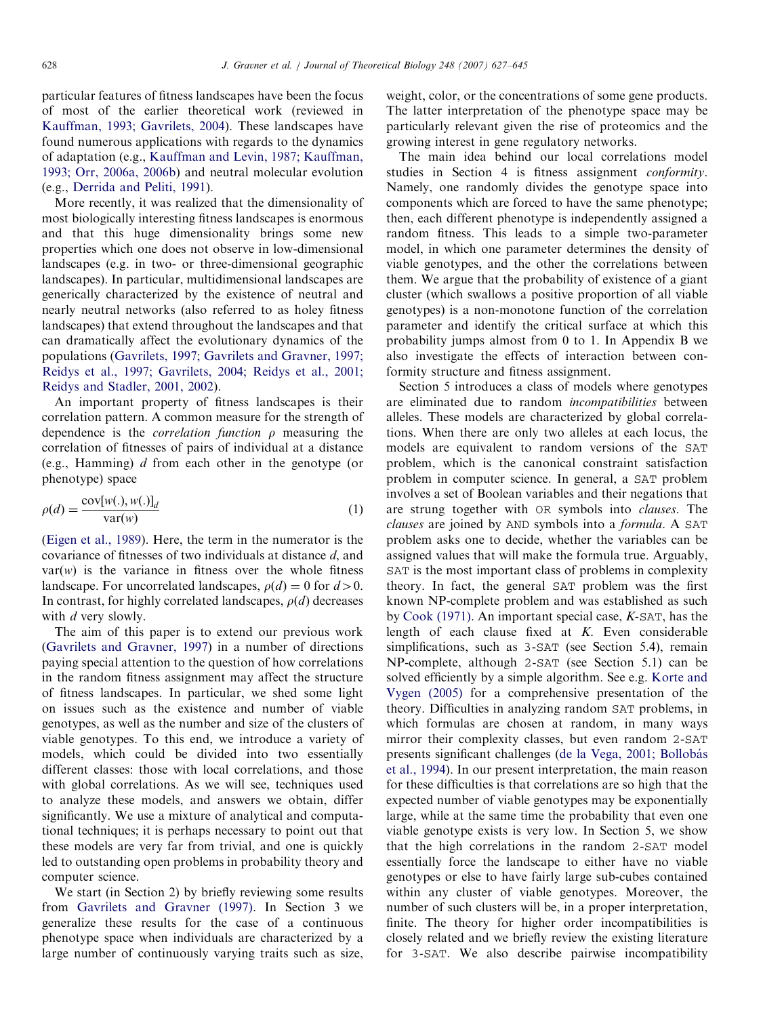particular features of fitness landscapes have been the focus of most of the earlier theoretical work (reviewed in [Kauffman, 1993; Gavrilets, 2004\)](#page-17-0). These landscapes have found numerous applications with regards to the dynamics of adaptation (e.g., [Kauffman and Levin, 1987; Kauffman,](#page-17-0) [1993; Orr, 2006a, 2006b](#page-17-0)) and neutral molecular evolution (e.g., [Derrida and Peliti, 1991\)](#page-17-0).

More recently, it was realized that the dimensionality of most biologically interesting fitness landscapes is enormous and that this huge dimensionality brings some new properties which one does not observe in low-dimensional landscapes (e.g. in two- or three-dimensional geographic landscapes). In particular, multidimensional landscapes are generically characterized by the existence of neutral and nearly neutral networks (also referred to as holey fitness landscapes) that extend throughout the landscapes and that can dramatically affect the evolutionary dynamics of the populations [\(Gavrilets, 1997; Gavrilets and Gravner, 1997;](#page-17-0) [Reidys et al., 1997; Gavrilets, 2004; Reidys et al., 2001;](#page-17-0) [Reidys and Stadler, 2001, 2002\)](#page-17-0).

An important property of fitness landscapes is their correlation pattern. A common measure for the strength of dependence is the *correlation function*  $\rho$  measuring the correlation of fitnesses of pairs of individual at a distance (e.g., Hamming) d from each other in the genotype (or phenotype) space

$$
\rho(d) = \frac{\text{cov}[w(.), w(.)]_d}{\text{var}(w)}
$$
(1)

[\(Eigen et al., 1989](#page-17-0)). Here, the term in the numerator is the covariance of fitnesses of two individuals at distance d, and  $var(w)$  is the variance in fitness over the whole fitness landscape. For uncorrelated landscapes,  $\rho(d) = 0$  for  $d > 0$ . In contrast, for highly correlated landscapes,  $\rho(d)$  decreases with d very slowly.

The aim of this paper is to extend our previous work [\(Gavrilets and Gravner, 1997](#page-17-0)) in a number of directions paying special attention to the question of how correlations in the random fitness assignment may affect the structure of fitness landscapes. In particular, we shed some light on issues such as the existence and number of viable genotypes, as well as the number and size of the clusters of viable genotypes. To this end, we introduce a variety of models, which could be divided into two essentially different classes: those with local correlations, and those with global correlations. As we will see, techniques used to analyze these models, and answers we obtain, differ significantly. We use a mixture of analytical and computational techniques; it is perhaps necessary to point out that these models are very far from trivial, and one is quickly led to outstanding open problems in probability theory and computer science.

We start (in Section 2) by briefly reviewing some results from [Gavrilets and Gravner \(1997\)](#page-17-0). In Section 3 we generalize these results for the case of a continuous phenotype space when individuals are characterized by a large number of continuously varying traits such as size, weight, color, or the concentrations of some gene products. The latter interpretation of the phenotype space may be particularly relevant given the rise of proteomics and the growing interest in gene regulatory networks.

The main idea behind our local correlations model studies in Section 4 is fitness assignment conformity. Namely, one randomly divides the genotype space into components which are forced to have the same phenotype; then, each different phenotype is independently assigned a random fitness. This leads to a simple two-parameter model, in which one parameter determines the density of viable genotypes, and the other the correlations between them. We argue that the probability of existence of a giant cluster (which swallows a positive proportion of all viable genotypes) is a non-monotone function of the correlation parameter and identify the critical surface at which this probability jumps almost from 0 to 1. In Appendix B we also investigate the effects of interaction between conformity structure and fitness assignment.

Section 5 introduces a class of models where genotypes are eliminated due to random incompatibilities between alleles. These models are characterized by global correlations. When there are only two alleles at each locus, the models are equivalent to random versions of the SAT problem, which is the canonical constraint satisfaction problem in computer science. In general, a SAT problem involves a set of Boolean variables and their negations that are strung together with OR symbols into clauses. The clauses are joined by AND symbols into a formula. A SAT problem asks one to decide, whether the variables can be assigned values that will make the formula true. Arguably, SAT is the most important class of problems in complexity theory. In fact, the general SAT problem was the first known NP-complete problem and was established as such by [Cook \(1971\).](#page-17-0) An important special case, K-SAT, has the length of each clause fixed at  $K$ . Even considerable simplifications, such as 3-SAT (see Section 5.4), remain NP-complete, although 2-SAT (see Section 5.1) can be solved efficiently by a simple algorithm. See e.g. [Korte and](#page-17-0) [Vygen \(2005\)](#page-17-0) for a comprehensive presentation of the theory. Difficulties in analyzing random SAT problems, in which formulas are chosen at random, in many ways mirror their complexity classes, but even random 2-SAT presents significant challenges (de la Vega, 2001; Bollobás [et al., 1994](#page-17-0)). In our present interpretation, the main reason for these difficulties is that correlations are so high that the expected number of viable genotypes may be exponentially large, while at the same time the probability that even one viable genotype exists is very low. In Section 5, we show that the high correlations in the random 2-SAT model essentially force the landscape to either have no viable genotypes or else to have fairly large sub-cubes contained within any cluster of viable genotypes. Moreover, the number of such clusters will be, in a proper interpretation, finite. The theory for higher order incompatibilities is closely related and we briefly review the existing literature for 3-SAT. We also describe pairwise incompatibility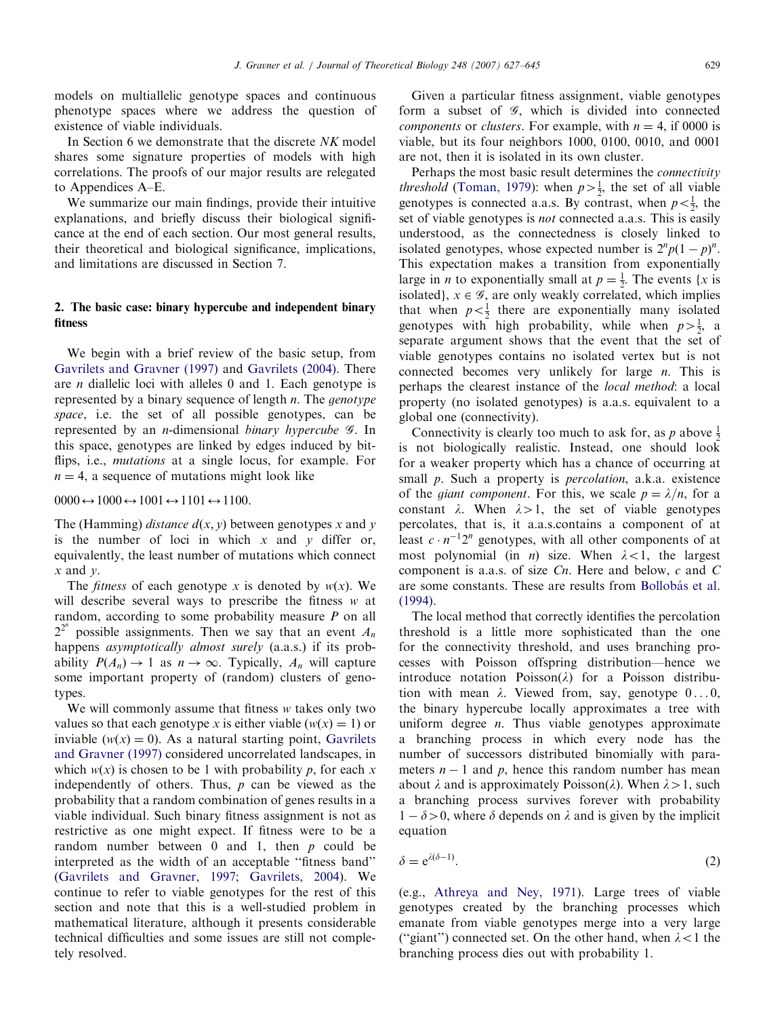models on multiallelic genotype spaces and continuous phenotype spaces where we address the question of existence of viable individuals.

In Section 6 we demonstrate that the discrete NK model shares some signature properties of models with high correlations. The proofs of our major results are relegated to Appendices A–E.

We summarize our main findings, provide their intuitive explanations, and briefly discuss their biological significance at the end of each section. Our most general results, their theoretical and biological significance, implications, and limitations are discussed in Section 7.

# 2. The basic case: binary hypercube and independent binary fitness

We begin with a brief review of the basic setup, from [Gavrilets and Gravner \(1997\)](#page-17-0) and [Gavrilets \(2004\).](#page-17-0) There are n diallelic loci with alleles 0 and 1. Each genotype is represented by a binary sequence of length *n*. The *genotype* space, i.e. the set of all possible genotypes, can be represented by an *n*-dimensional *binary hypercube 9*. In this space, genotypes are linked by edges induced by bitflips, i.e., *mutations* at a single locus, for example. For  $n = 4$ , a sequence of mutations might look like

 $0000 \leftrightarrow 1000 \leftrightarrow 1001 \leftrightarrow 1101 \leftrightarrow 1100.$ 

The (Hamming) *distance*  $d(x, y)$  between genotypes x and y is the number of loci in which  $x$  and  $y$  differ or, equivalently, the least number of mutations which connect  $x$  and  $y$ .

The *fitness* of each genotype x is denoted by  $w(x)$ . We will describe several ways to prescribe the fitness w at random, according to some probability measure P on all  $2^{2^n}$  possible assignments. Then we say that an event  $A_n$ happens *asymptotically almost surely* (a.a.s.) if its probability  $P(A_n) \to 1$  as  $n \to \infty$ . Typically,  $A_n$  will capture some important property of (random) clusters of genotypes.

We will commonly assume that fitness w takes only two values so that each genotype x is either viable  $(w(x) = 1)$  or inviable ( $w(x) = 0$ ). As a natural starting point, [Gavrilets](#page-17-0) [and Gravner \(1997\)](#page-17-0) considered uncorrelated landscapes, in which  $w(x)$  is chosen to be 1 with probability p, for each x independently of others. Thus,  $p$  can be viewed as the probability that a random combination of genes results in a viable individual. Such binary fitness assignment is not as restrictive as one might expect. If fitness were to be a random number between 0 and 1, then p could be interpreted as the width of an acceptable ''fitness band'' ([Gavrilets and Gravner, 1997; Gavrilets, 2004](#page-17-0)). We continue to refer to viable genotypes for the rest of this section and note that this is a well-studied problem in mathematical literature, although it presents considerable technical difficulties and some issues are still not completely resolved.

Given a particular fitness assignment, viable genotypes form a subset of  $\mathscr{G}$ , which is divided into connected *components* or *clusters*. For example, with  $n = 4$ , if 0000 is viable, but its four neighbors 1000, 0100, 0010, and 0001 are not, then it is isolated in its own cluster.

Perhaps the most basic result determines the *connectivity threshold* [\(Toman, 1979\)](#page-18-0): when  $p > \frac{1}{2}$ , the set of all viable genotypes is connected a.a.s. By contrast, when  $p < \frac{1}{2}$ , the set of viable genotypes is *not* connected a.a.s. This is easily understood, as the connectedness is closely linked to isolated genotypes, whose expected number is  $2^n p(1-p)^n$ . This expectation makes a transition from exponentially large in *n* to exponentially small at  $p = \frac{1}{2}$ . The events {*x* is isolated},  $x \in \mathcal{G}$ , are only weakly correlated, which implies that when  $p < \frac{1}{2}$  there are exponentially many isolated genotypes with high probability, while when  $p > \frac{1}{2}$ , a separate argument shows that the event that the set of viable genotypes contains no isolated vertex but is not connected becomes very unlikely for large  $n$ . This is perhaps the clearest instance of the local method: a local property (no isolated genotypes) is a.a.s. equivalent to a global one (connectivity).

Connectivity is clearly too much to ask for, as p above  $\frac{1}{2}$ is not biologically realistic. Instead, one should look for a weaker property which has a chance of occurring at small *p*. Such a property is *percolation*, a.k.a. existence of the *giant component*. For this, we scale  $p = \lambda/n$ , for a constant  $\lambda$ . When  $\lambda > 1$ , the set of viable genotypes percolates, that is, it a.a.s.contains a component of at least  $c \cdot n^{-1}2^n$  genotypes, with all other components of at most polynomial (in *n*) size. When  $\lambda < 1$ , the largest component is a.a.s. of size Cn. Here and below, c and C are some constants. These are results from Bollobás et al. [\(1994\)](#page-17-0).

The local method that correctly identifies the percolation threshold is a little more sophisticated than the one for the connectivity threshold, and uses branching processes with Poisson offspring distribution—hence we introduce notation  $Poisson(\lambda)$  for a Poisson distribution with mean  $\lambda$ . Viewed from, say, genotype  $0 \ldots 0$ , the binary hypercube locally approximates a tree with uniform degree  $n$ . Thus viable genotypes approximate a branching process in which every node has the number of successors distributed binomially with parameters  $n - 1$  and p, hence this random number has mean about  $\lambda$  and is approximately Poisson( $\lambda$ ). When  $\lambda > 1$ , such a branching process survives forever with probability  $1 - \delta > 0$ , where  $\delta$  depends on  $\lambda$  and is given by the implicit equation

$$
\delta = e^{\lambda(\delta - 1)}.
$$
 (2)

(e.g., [Athreya and Ney, 1971\)](#page-17-0). Large trees of viable genotypes created by the branching processes which emanate from viable genotypes merge into a very large ("giant") connected set. On the other hand, when  $\lambda$  < 1 the branching process dies out with probability 1.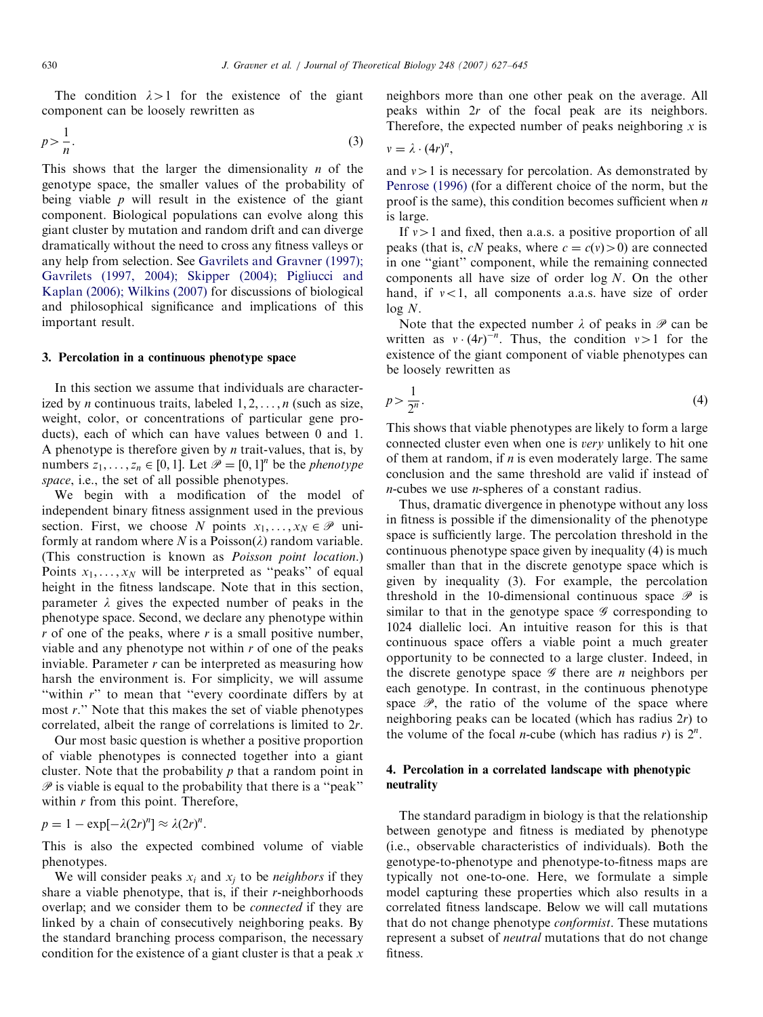The condition  $\lambda > 1$  for the existence of the giant component can be loosely rewritten as

$$
p > \frac{1}{n}.\tag{3}
$$

This shows that the larger the dimensionality  $n$  of the genotype space, the smaller values of the probability of being viable  $p$  will result in the existence of the giant component. Biological populations can evolve along this giant cluster by mutation and random drift and can diverge dramatically without the need to cross any fitness valleys or any help from selection. See [Gavrilets and Gravner \(1997\);](#page-17-0) [Gavrilets \(1997, 2004\); Skipper \(2004\); Pigliucci and](#page-17-0) [Kaplan \(2006\); Wilkins \(2007\)](#page-17-0) for discussions of biological and philosophical significance and implications of this important result.

#### 3. Percolation in a continuous phenotype space

In this section we assume that individuals are characterized by *n* continuous traits, labeled  $1, 2, \ldots, n$  (such as size, weight, color, or concentrations of particular gene products), each of which can have values between 0 and 1. A phenotype is therefore given by  $n$  trait-values, that is, by numbers  $z_1, \ldots, z_n \in [0, 1]$ . Let  $\mathcal{P} = [0, 1]^n$  be the *phenotype* space, i.e., the set of all possible phenotypes.

We begin with a modification of the model of independent binary fitness assignment used in the previous section. First, we choose N points  $x_1, \ldots, x_N \in \mathcal{P}$  uniformly at random where N is a Poisson( $\lambda$ ) random variable. (This construction is known as Poisson point location.) Points  $x_1, \ldots, x_N$  will be interpreted as "peaks" of equal height in the fitness landscape. Note that in this section, parameter  $\lambda$  gives the expected number of peaks in the phenotype space. Second, we declare any phenotype within  $r$  of one of the peaks, where  $r$  is a small positive number, viable and any phenotype not within  $r$  of one of the peaks inviable. Parameter  $r$  can be interpreted as measuring how harsh the environment is. For simplicity, we will assume "within r" to mean that "every coordinate differs by at most r.'' Note that this makes the set of viable phenotypes correlated, albeit the range of correlations is limited to 2r.

Our most basic question is whether a positive proportion of viable phenotypes is connected together into a giant cluster. Note that the probability  $p$  that a random point in  $\mathscr P$  is viable is equal to the probability that there is a "peak" within  $r$  from this point. Therefore,

$$
p = 1 - \exp[-\lambda(2r)^n] \approx \lambda(2r)^n.
$$

This is also the expected combined volume of viable phenotypes.

We will consider peaks  $x_i$  and  $x_j$  to be *neighbors* if they share a viable phenotype, that is, if their r-neighborhoods overlap; and we consider them to be connected if they are linked by a chain of consecutively neighboring peaks. By the standard branching process comparison, the necessary condition for the existence of a giant cluster is that a peak  $x$  neighbors more than one other peak on the average. All peaks within 2r of the focal peak are its neighbors. Therefore, the expected number of peaks neighboring  $x$  is

$$
v=\lambda\cdot(4r)^n,
$$

and  $v>1$  is necessary for percolation. As demonstrated by [Penrose \(1996\)](#page-17-0) (for a different choice of the norm, but the proof is the same), this condition becomes sufficient when  $n$ is large.

If  $v>1$  and fixed, then a.a.s. a positive proportion of all peaks (that is, cN peaks, where  $c = c(v) > 0$ ) are connected in one ''giant'' component, while the remaining connected components all have size of order log N. On the other hand, if  $v < 1$ , all components a.a.s. have size of order  $log N$ .

Note that the expected number  $\lambda$  of peaks in  $\mathscr P$  can be written as  $v \cdot (4r)^{-n}$ . Thus, the condition  $v > 1$  for the existence of the giant component of viable phenotypes can be loosely rewritten as

$$
p > \frac{1}{2^n}.\tag{4}
$$

This shows that viable phenotypes are likely to form a large connected cluster even when one is very unlikely to hit one of them at random, if  $n$  is even moderately large. The same conclusion and the same threshold are valid if instead of n-cubes we use n-spheres of a constant radius.

Thus, dramatic divergence in phenotype without any loss in fitness is possible if the dimensionality of the phenotype space is sufficiently large. The percolation threshold in the continuous phenotype space given by inequality (4) is much smaller than that in the discrete genotype space which is given by inequality (3). For example, the percolation threshold in the 10-dimensional continuous space  $\mathscr P$  is similar to that in the genotype space  $\mathscr G$  corresponding to 1024 diallelic loci. An intuitive reason for this is that continuous space offers a viable point a much greater opportunity to be connected to a large cluster. Indeed, in the discrete genotype space  $\mathscr G$  there are *n* neighbors per each genotype. In contrast, in the continuous phenotype space  $\mathscr{P}$ , the ratio of the volume of the space where neighboring peaks can be located (which has radius 2r) to the volume of the focal *n*-cube (which has radius *r*) is  $2^n$ .

# 4. Percolation in a correlated landscape with phenotypic neutrality

The standard paradigm in biology is that the relationship between genotype and fitness is mediated by phenotype (i.e., observable characteristics of individuals). Both the genotype-to-phenotype and phenotype-to-fitness maps are typically not one-to-one. Here, we formulate a simple model capturing these properties which also results in a correlated fitness landscape. Below we will call mutations that do not change phenotype conformist. These mutations represent a subset of neutral mutations that do not change fitness.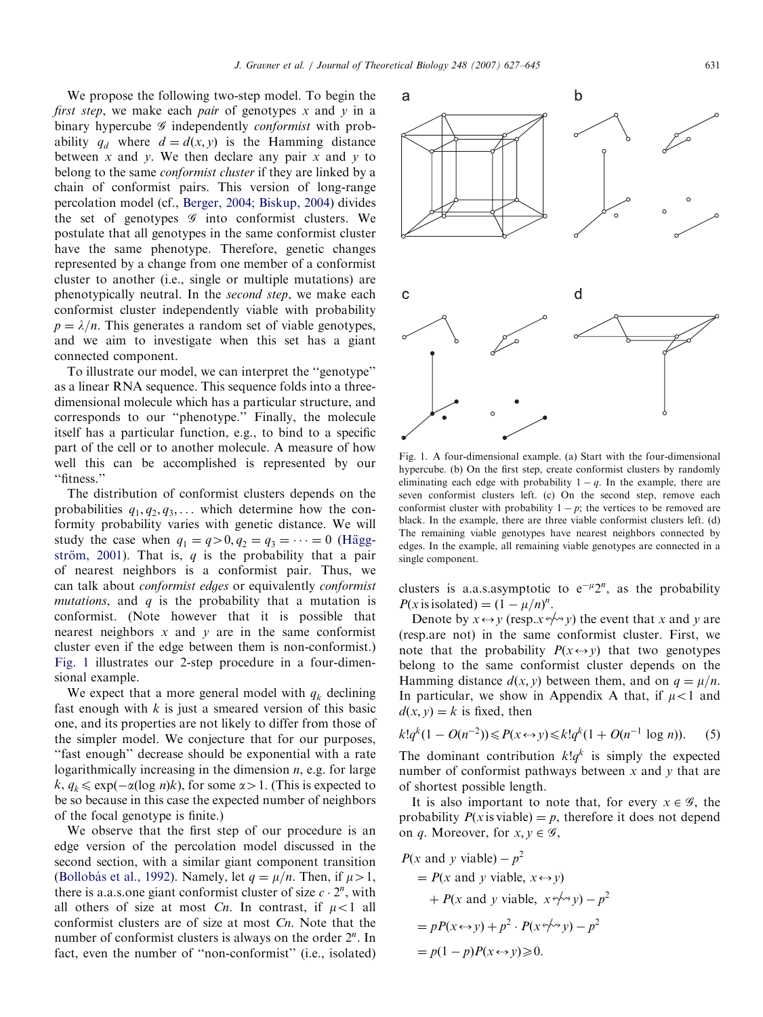We propose the following two-step model. To begin the first step, we make each pair of genotypes x and y in a binary hypercube  $G$  independently *conformist* with probability  $q_d$  where  $d = d(x, y)$  is the Hamming distance between  $x$  and  $y$ . We then declare any pair  $x$  and  $y$  to belong to the same *conformist cluster* if they are linked by a chain of conformist pairs. This version of long-range percolation model (cf., [Berger, 2004; Biskup, 2004\)](#page-17-0) divides the set of genotypes  $\mathscr G$  into conformist clusters. We postulate that all genotypes in the same conformist cluster have the same phenotype. Therefore, genetic changes represented by a change from one member of a conformist cluster to another (i.e., single or multiple mutations) are phenotypically neutral. In the second step, we make each conformist cluster independently viable with probability  $p = \lambda/n$ . This generates a random set of viable genotypes, and we aim to investigate when this set has a giant connected component.

To illustrate our model, we can interpret the ''genotype'' as a linear RNA sequence. This sequence folds into a threedimensional molecule which has a particular structure, and corresponds to our ''phenotype.'' Finally, the molecule itself has a particular function, e.g., to bind to a specific part of the cell or to another molecule. A measure of how well this can be accomplished is represented by our ''fitness.''

The distribution of conformist clusters depends on the probabilities  $q_1, q_2, q_3, \ldots$  which determine how the conformity probability varies with genetic distance. We will study the case when  $q_1 = q > 0, q_2 = q_3 = \cdots = 0$  (Häggström, 2001). That is,  $q$  is the probability that a pair of nearest neighbors is a conformist pair. Thus, we can talk about conformist edges or equivalently conformist *mutations*, and  $q$  is the probability that a mutation is conformist. (Note however that it is possible that nearest neighbors  $x$  and  $y$  are in the same conformist cluster even if the edge between them is non-conformist.) Fig. 1 illustrates our 2-step procedure in a four-dimensional example.

We expect that a more general model with  $q_k$  declining fast enough with  $k$  is just a smeared version of this basic one, and its properties are not likely to differ from those of the simpler model. We conjecture that for our purposes, ''fast enough'' decrease should be exponential with a rate logarithmically increasing in the dimension  $n$ , e.g. for large  $k, q_k \leq \exp(-\alpha(\log n)k)$ , for some  $\alpha > 1$ . (This is expected to be so because in this case the expected number of neighbors of the focal genotype is finite.)

We observe that the first step of our procedure is an edge version of the percolation model discussed in the second section, with a similar giant component transition (Bollobás et al., 1992). Namely, let  $q = \mu/n$ . Then, if  $\mu > 1$ , there is a.a.s.one giant conformist cluster of size  $c \cdot 2^n$ , with all others of size at most Cn. In contrast, if  $\mu < 1$  all conformist clusters are of size at most Cn. Note that the number of conformist clusters is always on the order  $2^n$ . In fact, even the number of ''non-conformist'' (i.e., isolated)

Fig. 1. A four-dimensional example. (a) Start with the four-dimensional hypercube. (b) On the first step, create conformist clusters by randomly eliminating each edge with probability  $1 - q$ . In the example, there are seven conformist clusters left. (c) On the second step, remove each conformist cluster with probability  $1 - p$ ; the vertices to be removed are black. In the example, there are three viable conformist clusters left. (d) The remaining viable genotypes have nearest neighbors connected by edges. In the example, all remaining viable genotypes are connected in a single component.

clusters is a.a.s.asymptotic to  $e^{-\mu}2^n$ , as the probability  $P(x \text{ is isolated}) = (1 - \mu/n)^n$ .

Denote by  $x \leftrightarrow y$  (resp. $x \leftrightarrow y$ ) the event that x and y are (resp.are not) in the same conformist cluster. First, we note that the probability  $P(x \leftrightarrow y)$  that two genotypes belong to the same conformist cluster depends on the Hamming distance  $d(x, y)$  between them, and on  $q = \mu/n$ . In particular, we show in Appendix A that, if  $\mu$ <1 and  $d(x, y) = k$  is fixed, then

$$
k!q^{k}(1 - O(n^{-2})) \le P(x \leftrightarrow y) \le k!q^{k}(1 + O(n^{-1} \log n)).
$$
 (5)

The dominant contribution  $klq^k$  is simply the expected number of conformist pathways between  $x$  and  $y$  that are of shortest possible length.

It is also important to note that, for every  $x \in \mathscr{G}$ , the probability  $P(x \text{ is viable}) = p$ , therefore it does not depend on q. Moreover, for  $x, y \in \mathscr{G}$ ,

$$
P(x \text{ and } y \text{ viable}) - p^2
$$
  
=  $P(x \text{ and } y \text{ viable}, x \leftrightarrow y)$   
+  $P(x \text{ and } y \text{ viable}, x \leftrightarrow y) - p^2$   
=  $pP(x \leftrightarrow y) + p^2 \cdot P(x \leftrightarrow y) - p^2$   
=  $p(1-p)P(x \leftrightarrow y) \ge 0$ .

d

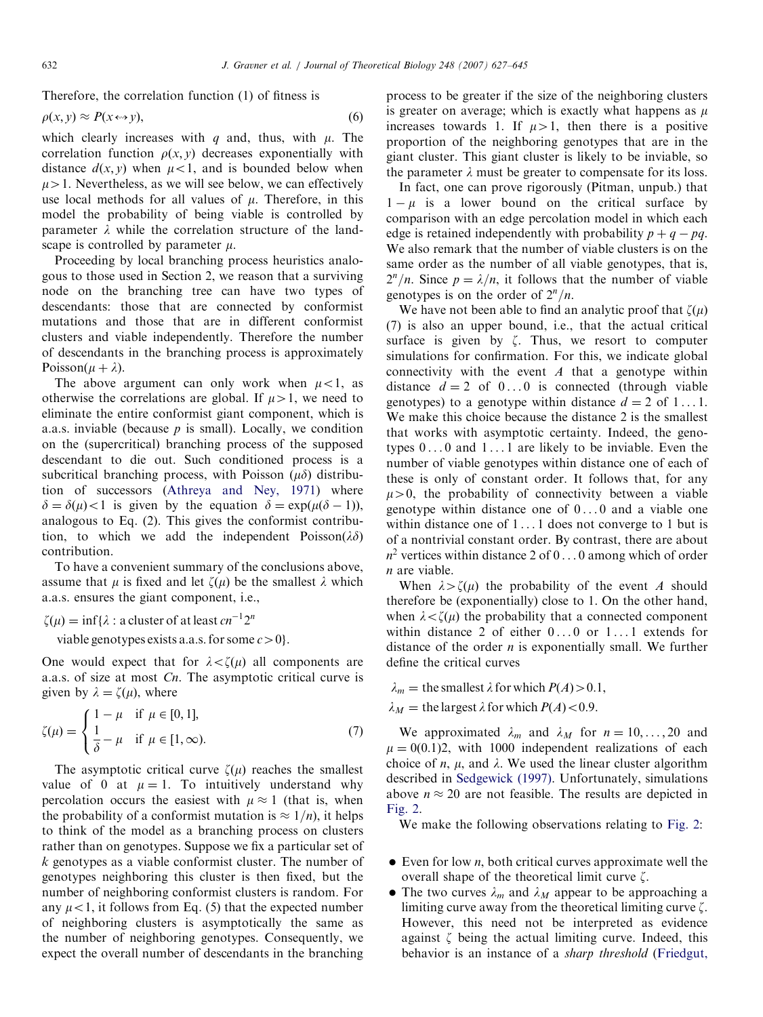Therefore, the correlation function (1) of fitness is

$$
\rho(x, y) \approx P(x \leftrightarrow y),\tag{6}
$$

which clearly increases with q and, thus, with  $\mu$ . The correlation function  $\rho(x, y)$  decreases exponentially with distance  $d(x, y)$  when  $\mu < 1$ , and is bounded below when  $\mu > 1$ . Nevertheless, as we will see below, we can effectively use local methods for all values of  $\mu$ . Therefore, in this model the probability of being viable is controlled by parameter  $\lambda$  while the correlation structure of the landscape is controlled by parameter  $\mu$ .

Proceeding by local branching process heuristics analogous to those used in Section 2, we reason that a surviving node on the branching tree can have two types of descendants: those that are connected by conformist mutations and those that are in different conformist clusters and viable independently. Therefore the number of descendants in the branching process is approximately Poisson( $\mu + \lambda$ ).

The above argument can only work when  $\mu$  < 1, as otherwise the correlations are global. If  $\mu > 1$ , we need to eliminate the entire conformist giant component, which is a.a.s. inviable (because  $p$  is small). Locally, we condition on the (supercritical) branching process of the supposed descendant to die out. Such conditioned process is a subcritical branching process, with Poisson  $(\mu\delta)$  distribution of successors ([Athreya and Ney, 1971\)](#page-17-0) where  $\delta = \delta(\mu) < 1$  is given by the equation  $\delta = \exp(\mu(\delta - 1))$ , analogous to Eq. (2). This gives the conformist contribution, to which we add the independent Poisson( $\lambda \delta$ ) contribution.

To have a convenient summary of the conclusions above, assume that  $\mu$  is fixed and let  $\zeta(\mu)$  be the smallest  $\lambda$  which a.a.s. ensures the giant component, i.e.,

 $\zeta(\mu) = \inf \{ \lambda : \text{a cluster of at least } cn^{-1}2^n \}$ 

viable genotypes exists a.a.s. for some  $c>0$ .

One would expect that for  $\lambda < \zeta(\mu)$  all components are a.a.s. of size at most Cn. The asymptotic critical curve is given by  $\lambda = \zeta(\mu)$ , where

$$
\zeta(\mu) = \begin{cases}\n1 - \mu & \text{if } \mu \in [0, 1], \\
\frac{1}{\delta} - \mu & \text{if } \mu \in [1, \infty).\n\end{cases}
$$
\n(7)

The asymptotic critical curve  $\zeta(\mu)$  reaches the smallest value of 0 at  $\mu = 1$ . To intuitively understand why percolation occurs the easiest with  $\mu \approx 1$  (that is, when the probability of a conformist mutation is  $\approx 1/n$ , it helps to think of the model as a branching process on clusters rather than on genotypes. Suppose we fix a particular set of k genotypes as a viable conformist cluster. The number of genotypes neighboring this cluster is then fixed, but the number of neighboring conformist clusters is random. For any  $\mu$ <1, it follows from Eq. (5) that the expected number of neighboring clusters is asymptotically the same as the number of neighboring genotypes. Consequently, we expect the overall number of descendants in the branching process to be greater if the size of the neighboring clusters is greater on average; which is exactly what happens as  $\mu$ increases towards 1. If  $\mu > 1$ , then there is a positive proportion of the neighboring genotypes that are in the giant cluster. This giant cluster is likely to be inviable, so the parameter  $\lambda$  must be greater to compensate for its loss.

In fact, one can prove rigorously (Pitman, unpub.) that  $1 - \mu$  is a lower bound on the critical surface by comparison with an edge percolation model in which each edge is retained independently with probability  $p + q - pq$ . We also remark that the number of viable clusters is on the same order as the number of all viable genotypes, that is,  $2^n/n$ . Since  $p = \lambda/n$ , it follows that the number of viable genotypes is on the order of  $2^n/n$ .

We have not been able to find an analytic proof that  $\zeta(\mu)$ (7) is also an upper bound, i.e., that the actual critical surface is given by  $\zeta$ . Thus, we resort to computer simulations for confirmation. For this, we indicate global connectivity with the event  $A$  that a genotype within distance  $d = 2$  of 0...0 is connected (through viable genotypes) to a genotype within distance  $d = 2$  of 1...1. We make this choice because the distance 2 is the smallest that works with asymptotic certainty. Indeed, the genotypes 0 ... 0 and 1 ... 1 are likely to be inviable. Even the number of viable genotypes within distance one of each of these is only of constant order. It follows that, for any  $\mu > 0$ , the probability of connectivity between a viable genotype within distance one of  $0 \dots 0$  and a viable one within distance one of 1...1 does not converge to 1 but is of a nontrivial constant order. By contrast, there are about  $n^2$  vertices within distance 2 of 0... 0 among which of order n are viable.

When  $\lambda > \zeta(\mu)$  the probability of the event A should therefore be (exponentially) close to 1. On the other hand, when  $\lambda < \zeta(\mu)$  the probability that a connected component within distance 2 of either  $0...0$  or  $1...1$  extends for distance of the order  $n$  is exponentially small. We further define the critical curves

 $\lambda_m$  = the smallest  $\lambda$  for which  $P(A) > 0.1$ ,  $\lambda_M$  = the largest  $\lambda$  for which  $P(A)$  < 0.9.

We approximated  $\lambda_m$  and  $\lambda_M$  for  $n = 10, \ldots, 20$  and  $\mu = 0(0.1)2$ , with 1000 independent realizations of each choice of  $n$ ,  $\mu$ , and  $\lambda$ . We used the linear cluster algorithm described in [Sedgewick \(1997\).](#page-18-0) Unfortunately, simulations above  $n \approx 20$  are not feasible. The results are depicted in [Fig. 2](#page-6-0).

We make the following observations relating to [Fig. 2](#page-6-0):

- $\bullet$  Even for low *n*, both critical curves approximate well the overall shape of the theoretical limit curve  $\zeta$ .
- The two curves  $\lambda_m$  and  $\lambda_M$  appear to be approaching a limiting curve away from the theoretical limiting curve  $\zeta$ . However, this need not be interpreted as evidence against  $\zeta$  being the actual limiting curve. Indeed, this behavior is an instance of a *sharp threshold* [\(Friedgut,](#page-17-0)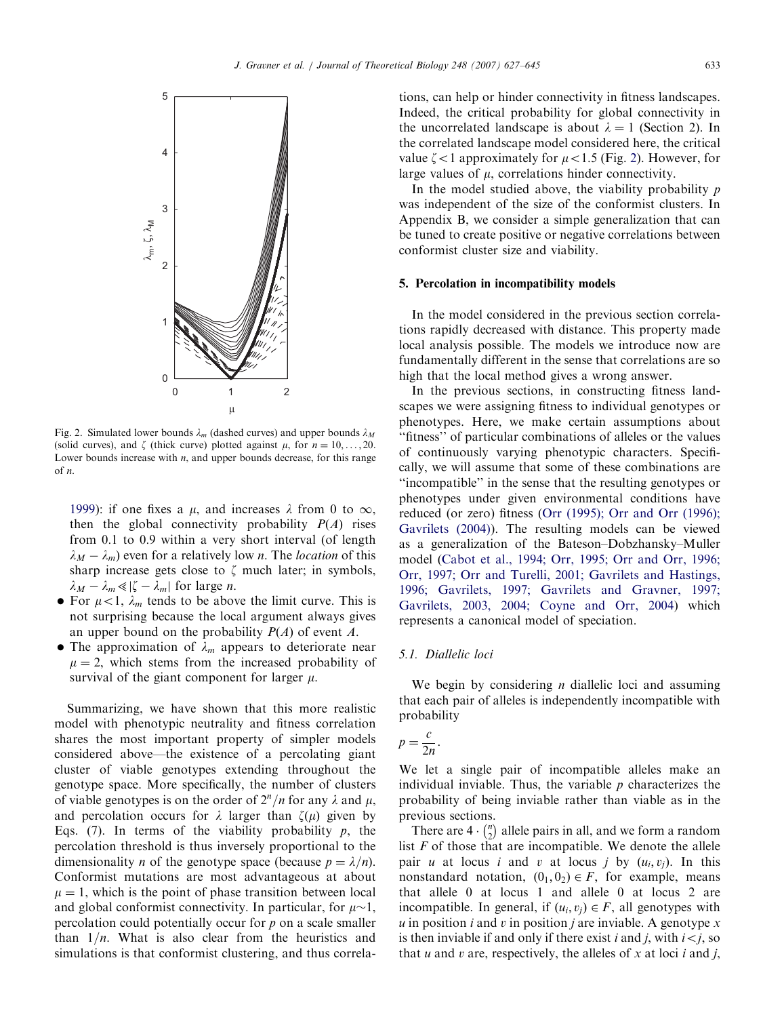<span id="page-6-0"></span>

Fig. 2. Simulated lower bounds  $\lambda_m$  (dashed curves) and upper bounds  $\lambda_M$ (solid curves), and  $\zeta$  (thick curve) plotted against  $\mu$ , for  $n = 10, \ldots, 20$ . Lower bounds increase with  $n$ , and upper bounds decrease, for this range of n.

[1999](#page-17-0)): if one fixes a  $\mu$ , and increases  $\lambda$  from 0 to  $\infty$ , then the global connectivity probability  $P(A)$  rises from 0.1 to 0.9 within a very short interval (of length  $\lambda_M - \lambda_m$ ) even for a relatively low *n*. The *location* of this sharp increase gets close to  $\zeta$  much later; in symbols,  $\lambda_M - \lambda_m \ll |\zeta - \lambda_m|$  for large *n*.

- For  $\mu < 1$ ,  $\lambda_m$  tends to be above the limit curve. This is not surprising because the local argument always gives an upper bound on the probability  $P(A)$  of event A.
- The approximation of  $\lambda_m$  appears to deteriorate near  $\mu = 2$ , which stems from the increased probability of survival of the giant component for larger  $\mu$ .

Summarizing, we have shown that this more realistic model with phenotypic neutrality and fitness correlation shares the most important property of simpler models considered above—the existence of a percolating giant cluster of viable genotypes extending throughout the genotype space. More specifically, the number of clusters of viable genotypes is on the order of  $2^n/n$  for any  $\lambda$  and  $\mu$ , and percolation occurs for  $\lambda$  larger than  $\zeta(\mu)$  given by Eqs. (7). In terms of the viability probability  $p$ , the percolation threshold is thus inversely proportional to the dimensionality *n* of the genotype space (because  $p = \lambda/n$ ). Conformist mutations are most advantageous at about  $\mu = 1$ , which is the point of phase transition between local and global conformist connectivity. In particular, for  $\mu \sim 1$ , percolation could potentially occur for  $p$  on a scale smaller than  $1/n$ . What is also clear from the heuristics and simulations is that conformist clustering, and thus correlations, can help or hinder connectivity in fitness landscapes. Indeed, the critical probability for global connectivity in the uncorrelated landscape is about  $\lambda = 1$  (Section 2). In the correlated landscape model considered here, the critical value  $\zeta$  < 1 approximately for  $\mu$  < 1.5 (Fig. 2). However, for large values of  $\mu$ , correlations hinder connectivity.

In the model studied above, the viability probability  $p$ was independent of the size of the conformist clusters. In Appendix B, we consider a simple generalization that can be tuned to create positive or negative correlations between conformist cluster size and viability.

#### 5. Percolation in incompatibility models

In the model considered in the previous section correlations rapidly decreased with distance. This property made local analysis possible. The models we introduce now are fundamentally different in the sense that correlations are so high that the local method gives a wrong answer.

In the previous sections, in constructing fitness landscapes we were assigning fitness to individual genotypes or phenotypes. Here, we make certain assumptions about ''fitness'' of particular combinations of alleles or the values of continuously varying phenotypic characters. Specifically, we will assume that some of these combinations are ''incompatible'' in the sense that the resulting genotypes or phenotypes under given environmental conditions have reduced (or zero) fitness [\(Orr \(1995\); Orr and Orr \(1996\);](#page-17-0) [Gavrilets \(2004\)](#page-17-0)). The resulting models can be viewed as a generalization of the Bateson–Dobzhansky–Muller model [\(Cabot et al., 1994; Orr, 1995; Orr and Orr, 1996;](#page-17-0) [Orr, 1997; Orr and Turelli, 2001; Gavrilets and Hastings,](#page-17-0) [1996; Gavrilets, 1997; Gavrilets and Gravner, 1997;](#page-17-0) [Gavrilets, 2003, 2004; Coyne and Orr, 2004](#page-17-0)) which represents a canonical model of speciation.

## 5.1. Diallelic loci

We begin by considering  $n$  diallelic loci and assuming that each pair of alleles is independently incompatible with probability

$$
p = \frac{c}{2n}
$$

.

We let a single pair of incompatible alleles make an individual inviable. Thus, the variable  $p$  characterizes the probability of being inviable rather than viable as in the previous sections.

There are  $4 \cdot {n \choose 2}$  $\binom{n}{2}$  allele pairs in all, and we form a random list  $F$  of those that are incompatible. We denote the allele pair u at locus i and v at locus j by  $(u_i, v_j)$ . In this nonstandard notation,  $(0_1, 0_2) \in F$ , for example, means that allele 0 at locus 1 and allele 0 at locus 2 are incompatible. In general, if  $(u_i, v_i) \in F$ , all genotypes with  $u$  in position  $i$  and  $v$  in position  $j$  are inviable. A genotype  $x$ is then inviable if and only if there exist i and j, with  $i < j$ , so that u and v are, respectively, the alleles of x at loci i and j,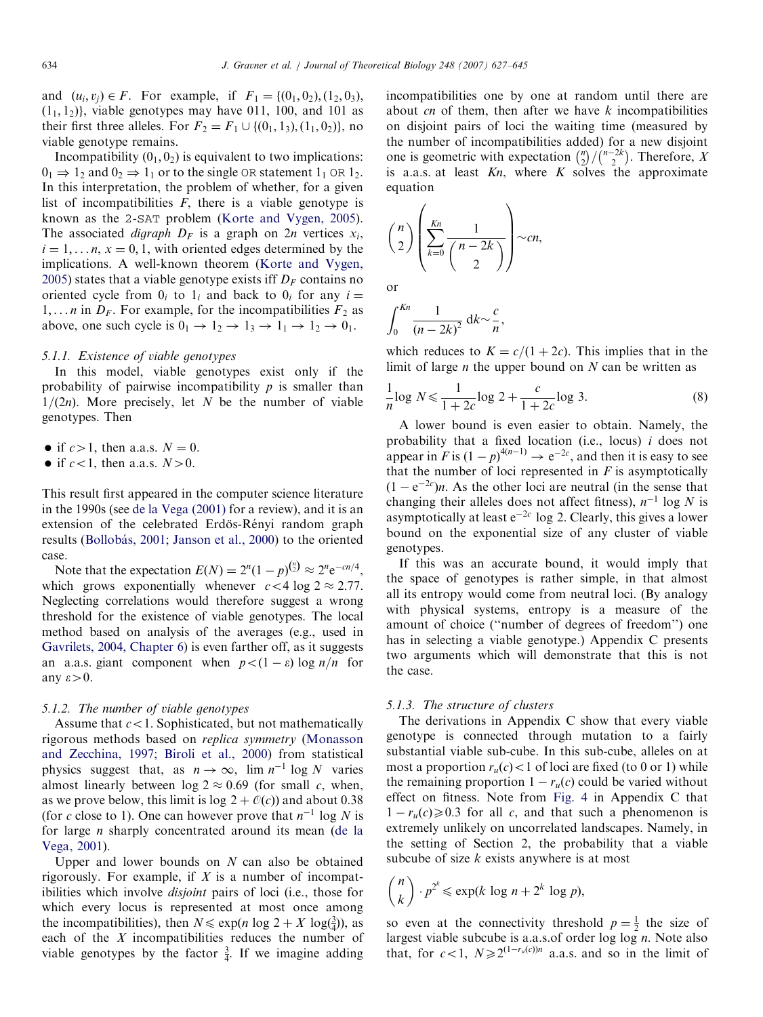and  $(u_i, v_i) \in F$ . For example, if  $F_1 = \{(0_1, 0_2), (1_2, 0_3),$  $(1_1, 1_2)$ , viable genotypes may have 011, 100, and 101 as their first three alleles. For  $F_2 = F_1 \cup \{(0_1, 1_3), (1_1, 0_2)\}\)$ , no viable genotype remains.

Incompatibility  $(0<sub>1</sub>, 0<sub>2</sub>)$  is equivalent to two implications:  $0_1 \Rightarrow 1_2$  and  $0_2 \Rightarrow 1_1$  or to the single OR statement  $1_1$  OR  $1_2$ . In this interpretation, the problem of whether, for a given list of incompatibilities  $F$ , there is a viable genotype is known as the 2-SAT problem [\(Korte and Vygen, 2005\)](#page-17-0). The associated *digraph*  $D_F$  is a graph on  $2n$  vertices  $x_i$ ,  $i = 1, \ldots n$ ,  $x = 0, 1$ , with oriented edges determined by the implications. A well-known theorem ([Korte and Vygen,](#page-17-0) [2005\)](#page-17-0) states that a viable genotype exists iff  $D_F$  contains no oriented cycle from  $0_i$  to  $1_i$  and back to  $0_i$  for any  $i =$  $1, \ldots n$  in  $D_F$ . For example, for the incompatibilities  $F_2$  as above, one such cycle is  $0_1 \rightarrow 1_2 \rightarrow 1_3 \rightarrow 1_1 \rightarrow 1_2 \rightarrow 0_1$ .

#### 5.1.1. Existence of viable genotypes

In this model, viable genotypes exist only if the probability of pairwise incompatibility  $p$  is smaller than  $1/(2n)$ . More precisely, let N be the number of viable genotypes. Then

- if  $c>1$ , then a.a.s.  $N = 0$ .
- if  $c < 1$ , then a.a.s.  $N > 0$ .

This result first appeared in the computer science literature in the 1990s (see [de la Vega \(2001\)](#page-17-0) for a review), and it is an extension of the celebrated Erdös-Rényi random graph results (Bollobás, 2001; Janson et al., 2000) to the oriented case.

Note that the expectation  $E(N) = 2^n(1-p)^{{n \choose 2}} \approx 2^n e^{-cn/4}$ , which grows exponentially whenever  $c < 4 \log 2 \approx 2.77$ . Neglecting correlations would therefore suggest a wrong threshold for the existence of viable genotypes. The local method based on analysis of the averages (e.g., used in [Gavrilets, 2004, Chapter 6](#page-17-0)) is even farther off, as it suggests an a.a.s. giant component when  $p < (1 - \varepsilon) \log n/n$  for any  $\varepsilon \negthinspace > \negthinspace 0.$ 

### 5.1.2. The number of viable genotypes

Assume that  $c < 1$ . Sophisticated, but not mathematically rigorous methods based on replica symmetry [\(Monasson](#page-17-0) [and Zecchina, 1997; Biroli et al., 2000\)](#page-17-0) from statistical physics suggest that, as  $n \to \infty$ ,  $\lim n^{-1} \log N$  varies almost linearly between  $\log 2 \approx 0.69$  (for small c, when, as we prove below, this limit is log  $2 + \mathcal{O}(c)$  and about 0.38 (for c close to 1). One can however prove that  $n^{-1}$  log N is for large n sharply concentrated around its mean ([de la](#page-17-0) [Vega, 2001](#page-17-0)).

Upper and lower bounds on  $N$  can also be obtained rigorously. For example, if  $X$  is a number of incompatibilities which involve disjoint pairs of loci (i.e., those for which every locus is represented at most once among the incompatibilities), then  $N \leq \exp(n \log 2 + X \log(\frac{3}{4}))$ , as each of the X incompatibilities reduces the number of viable genotypes by the factor  $\frac{3}{4}$ . If we imagine adding

incompatibilities one by one at random until there are about cn of them, then after we have  $k$  incompatibilities on disjoint pairs of loci the waiting time (measured by the number of incompatibilities added) for a new disjoint one is geometric with expectation  $\binom{n}{2}$  $\binom{n}{2} / \binom{n-2k}{2}$  $\binom{n-2k}{2}$ . Therefore, X is a.a.s. at least  $Kn$ , where  $K$  solves the approximate equation

$$
\binom{n}{2}\left(\sum_{k=0}^{Kn}\frac{1}{\binom{n-2k}{2}}\right)\sim cn,
$$

or

$$
\int_0^{Kn} \frac{1}{(n-2k)^2} \, \mathrm{d}k \sim \frac{c}{n},
$$

which reduces to  $K = c/(1 + 2c)$ . This implies that in the limit of large  $n$  the upper bound on  $N$  can be written as

$$
\frac{1}{n}\log N \le \frac{1}{1+2c}\log 2 + \frac{c}{1+2c}\log 3.
$$
 (8)

A lower bound is even easier to obtain. Namely, the probability that a fixed location (i.e., locus)  $i$  does not appear in F is  $(1-p)^{4(n-1)} \rightarrow e^{-2c}$ , and then it is easy to see that the number of loci represented in  $F$  is asymptotically  $(1 - e^{-2c})n$ . As the other loci are neutral (in the sense that changing their alleles does not affect fitness),  $n^{-1}$  log N is asymptotically at least  $e^{-2c}$  log 2. Clearly, this gives a lower bound on the exponential size of any cluster of viable genotypes.

If this was an accurate bound, it would imply that the space of genotypes is rather simple, in that almost all its entropy would come from neutral loci. (By analogy with physical systems, entropy is a measure of the amount of choice (''number of degrees of freedom'') one has in selecting a viable genotype.) Appendix C presents two arguments which will demonstrate that this is not the case.

## 5.1.3. The structure of clusters

The derivations in Appendix C show that every viable genotype is connected through mutation to a fairly substantial viable sub-cube. In this sub-cube, alleles on at most a proportion  $r_u(c) < 1$  of loci are fixed (to 0 or 1) while the remaining proportion  $1 - r_u(c)$  could be varied without effect on fitness. Note from [Fig. 4](#page-13-0) in Appendix C that  $1 - r_u(c) \geq 0.3$  for all c, and that such a phenomenon is extremely unlikely on uncorrelated landscapes. Namely, in the setting of Section 2, the probability that a viable subcube of size  $k$  exists anywhere is at most

$$
\binom{n}{k} \cdot p^{2^k} \le \exp(k \log n + 2^k \log p),
$$

so even at the connectivity threshold  $p = \frac{1}{2}$  the size of largest viable subcube is a.a.s.of order log log  $n$ . Note also that, for  $c<1$ ,  $N\geq 2^{(1-r_u(c))n}$  a.a.s. and so in the limit of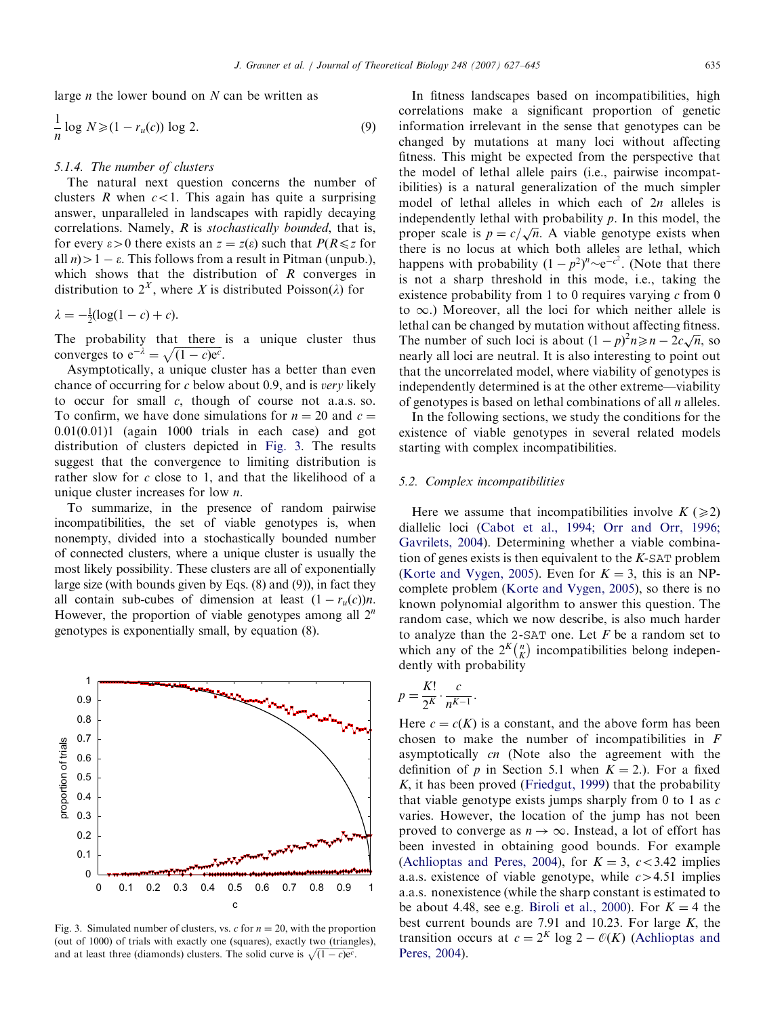<span id="page-8-0"></span>large  $n$  the lower bound on  $N$  can be written as

$$
\frac{1}{n}\log N \geqslant (1 - r_u(c))\log 2. \tag{9}
$$

# 5.1.4. The number of clusters

The natural next question concerns the number of clusters R when  $c < 1$ . This again has quite a surprising answer, unparalleled in landscapes with rapidly decaying correlations. Namely, R is stochastically bounded, that is, for every  $\varepsilon > 0$  there exists an  $z = z(\varepsilon)$  such that  $P(R \le z$  for all  $n$ ) > 1 –  $\varepsilon$ . This follows from a result in Pitman (unpub.), which shows that the distribution of  $R$  converges in distribution to  $2^X$ , where X is distributed Poisson( $\lambda$ ) for

 $\lambda = -\frac{1}{2}(\log(1 - c) + c).$ 

The probability that there is a unique cluster thus converges to  $e^{-\lambda} = \sqrt{(1 - c)e^{c}}$ .

Asymptotically, a unique cluster has a better than even chance of occurring for c below about 0.9, and is very likely to occur for small  $c$ , though of course not a.a.s. so. To confirm, we have done simulations for  $n = 20$  and  $c =$  $0.01(0.01)1$  (again 1000 trials in each case) and got distribution of clusters depicted in Fig. 3. The results suggest that the convergence to limiting distribution is rather slow for  $c$  close to 1, and that the likelihood of a unique cluster increases for low  $n$ .

To summarize, in the presence of random pairwise incompatibilities, the set of viable genotypes is, when nonempty, divided into a stochastically bounded number of connected clusters, where a unique cluster is usually the most likely possibility. These clusters are all of exponentially large size (with bounds given by Eqs. (8) and (9)), in fact they all contain sub-cubes of dimension at least  $(1 - r_u(c))n$ . However, the proportion of viable genotypes among all  $2^n$ genotypes is exponentially small, by equation (8).



Fig. 3. Simulated number of clusters, vs. c for  $n = 20$ , with the proportion (out of 1000) of trials with exactly one (squares), exactly two (triangles), and at least three (diamonds) clusters. The solid curve is  $\sqrt{(1-c)e^c}$ .

In fitness landscapes based on incompatibilities, high correlations make a significant proportion of genetic information irrelevant in the sense that genotypes can be changed by mutations at many loci without affecting fitness. This might be expected from the perspective that the model of lethal allele pairs (i.e., pairwise incompatibilities) is a natural generalization of the much simpler model of lethal alleles in which each of  $2n$  alleles is independently lethal with probability  $p$ . In this model, the maependently lettial with probability p. in this model, the<br>proper scale is  $p = c / \sqrt{n}$ . A viable genotype exists when there is no locus at which both alleles are lethal, which happens with probability  $(1-p^2)^n \sim e^{-c^2}$ . (Note that there is not a sharp threshold in this mode, i.e., taking the existence probability from 1 to 0 requires varying  $c$  from 0 to  $\infty$ .) Moreover, all the loci for which neither allele is lethal can be changed by mutation without affecting fitness. The number of such loci is about  $(1-p)^2n \ge n - 2c\sqrt{n}$ , so nearly all loci are neutral. It is also interesting to point out that the uncorrelated model, where viability of genotypes is independently determined is at the other extreme—viability of genotypes is based on lethal combinations of all  $n$  alleles.

In the following sections, we study the conditions for the existence of viable genotypes in several related models starting with complex incompatibilities.

## 5.2. Complex incompatibilities

Here we assume that incompatibilities involve  $K \geq 2$ diallelic loci ([Cabot et al., 1994; Orr and Orr, 1996;](#page-17-0) [Gavrilets, 2004](#page-17-0)). Determining whether a viable combination of genes exists is then equivalent to the  $K$ -SAT problem ([Korte and Vygen, 2005](#page-17-0)). Even for  $K = 3$ , this is an NPcomplete problem [\(Korte and Vygen, 2005\)](#page-17-0), so there is no known polynomial algorithm to answer this question. The random case, which we now describe, is also much harder to analyze than the 2-SAT one. Let  $F$  be a random set to which any of the  $2^K \binom{n}{K}$  $\binom{n}{k}$  incompatibilities belong independently with probability

$$
p = \frac{K!}{2^K} \cdot \frac{c}{n^{K-1}}.
$$

Here  $c = c(K)$  is a constant, and the above form has been chosen to make the number of incompatibilities in F asymptotically cn (Note also the agreement with the definition of p in Section 5.1 when  $K = 2$ .). For a fixed  $K$ , it has been proved ([Friedgut, 1999](#page-17-0)) that the probability that viable genotype exists jumps sharply from  $0$  to  $1$  as  $c$ varies. However, the location of the jump has not been proved to converge as  $n \to \infty$ . Instead, a lot of effort has been invested in obtaining good bounds. For example ([Achlioptas and Peres, 2004](#page-17-0)), for  $K = 3$ ,  $c < 3.42$  implies a.a.s. existence of viable genotype, while  $c > 4.51$  implies a.a.s. nonexistence (while the sharp constant is estimated to be about 4.48, see e.g. [Biroli et al., 2000](#page-17-0)). For  $K = 4$  the best current bounds are 7.91 and 10.23. For large  $K$ , the transition occurs at  $c = 2^{K} \log 2 - \mathcal{O}(K)$  [\(Achlioptas and](#page-17-0) [Peres, 2004\)](#page-17-0).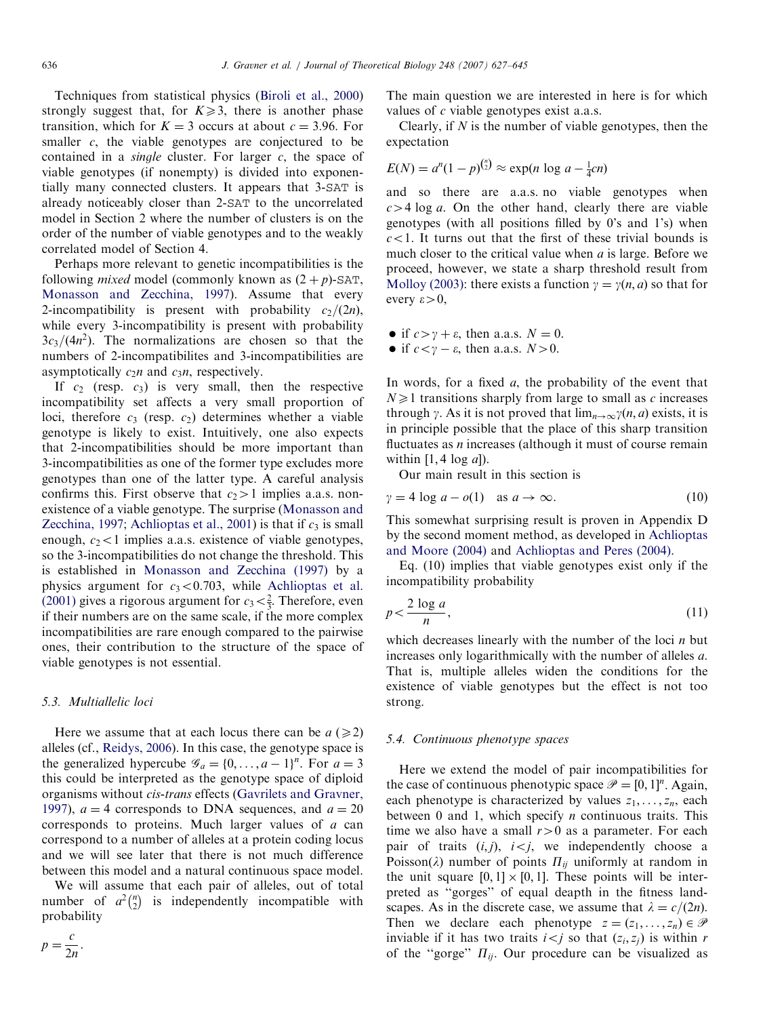Techniques from statistical physics ([Biroli et al., 2000](#page-17-0)) strongly suggest that, for  $K \geq 3$ , there is another phase transition, which for  $K = 3$  occurs at about  $c = 3.96$ . For smaller  $c$ , the viable genotypes are conjectured to be contained in a *single* cluster. For larger  $c$ , the space of viable genotypes (if nonempty) is divided into exponentially many connected clusters. It appears that 3-SAT is already noticeably closer than 2-SAT to the uncorrelated model in Section 2 where the number of clusters is on the order of the number of viable genotypes and to the weakly correlated model of Section 4.

Perhaps more relevant to genetic incompatibilities is the following *mixed* model (commonly known as  $(2 + p)$ -SAT, [Monasson and Zecchina, 1997](#page-17-0)). Assume that every 2-incompatibility is present with probability  $c_2/(2n)$ , while every 3-incompatibility is present with probability  $3c_3/(4n^2)$ . The normalizations are chosen so that the numbers of 2-incompatibilites and 3-incompatibilities are asymptotically  $c_2n$  and  $c_3n$ , respectively.

If  $c_2$  (resp.  $c_3$ ) is very small, then the respective incompatibility set affects a very small proportion of loci, therefore  $c_3$  (resp.  $c_2$ ) determines whether a viable genotype is likely to exist. Intuitively, one also expects that 2-incompatibilities should be more important than 3-incompatibilities as one of the former type excludes more genotypes than one of the latter type. A careful analysis confirms this. First observe that  $c_2>1$  implies a.a.s. nonexistence of a viable genotype. The surprise ([Monasson and](#page-17-0) [Zecchina, 1997; Achlioptas et al., 2001](#page-17-0)) is that if  $c_3$  is small enough,  $c_2$ <1 implies a.a.s. existence of viable genotypes, so the 3-incompatibilities do not change the threshold. This is established in [Monasson and Zecchina \(1997\)](#page-17-0) by a physics argument for  $c_3 < 0.703$ , while [Achlioptas et al.](#page-17-0) [\(2001\)](#page-17-0) gives a rigorous argument for  $c_3 < \frac{2}{3}$ . Therefore, even if their numbers are on the same scale, if the more complex incompatibilities are rare enough compared to the pairwise ones, their contribution to the structure of the space of viable genotypes is not essential.

## 5.3. Multiallelic loci

Here we assume that at each locus there can be  $a \geq 2$ alleles (cf., [Reidys, 2006](#page-17-0)). In this case, the genotype space is the generalized hypercube  $\mathscr{G}_a = \{0, \ldots, a-1\}^n$ . For  $a = 3$ this could be interpreted as the genotype space of diploid organisms without cis-trans effects [\(Gavrilets and Gravner,](#page-17-0) [1997\)](#page-17-0),  $a = 4$  corresponds to DNA sequences, and  $a = 20$ corresponds to proteins. Much larger values of a can correspond to a number of alleles at a protein coding locus and we will see later that there is not much difference between this model and a natural continuous space model.

We will assume that each pair of alleles, out of total number of  $a^2\binom{n}{2}$  $\binom{n}{2}$  is independently incompatible with probability

$$
p=\frac{c}{2n}.
$$

The main question we are interested in here is for which values of c viable genotypes exist a.a.s.

Clearly, if  $N$  is the number of viable genotypes, then the expectation

$$
E(N) = a^{n}(1-p)^{{n \choose 2}} \approx \exp(n \log a - \frac{1}{4}cn)
$$

and so there are a.a.s. no viable genotypes when  $c>4$  log a. On the other hand, clearly there are viable genotypes (with all positions filled by 0's and 1's) when  $c$ <1. It turns out that the first of these trivial bounds is much closer to the critical value when  $a$  is large. Before we proceed, however, we state a sharp threshold result from [Molloy \(2003\)](#page-17-0): there exists a function  $\gamma = \gamma(n, a)$  so that for every  $\varepsilon > 0$ ,

- if  $c > \gamma + \varepsilon$ , then a.a.s.  $N = 0$ .
- if  $c < \gamma \varepsilon$ , then a.a.s.  $N > 0$ .

In words, for a fixed  $a$ , the probability of the event that  $N \geq 1$  transitions sharply from large to small as c increases through  $\gamma$ . As it is not proved that  $\lim_{n\to\infty} \gamma(n, a)$  exists, it is in principle possible that the place of this sharp transition fluctuates as  $n$  increases (although it must of course remain within  $[1, 4 \log a]$ ).

Our main result in this section is

$$
\gamma = 4 \log a - o(1) \quad \text{as } a \to \infty. \tag{10}
$$

This somewhat surprising result is proven in Appendix D by the second moment method, as developed in [Achlioptas](#page-16-0) [and Moore \(2004\)](#page-16-0) and [Achlioptas and Peres \(2004\).](#page-17-0)

Eq. (10) implies that viable genotypes exist only if the incompatibility probability

$$
p < \frac{2\log a}{n},\tag{11}
$$

which decreases linearly with the number of the loci  $n$  but increases only logarithmically with the number of alleles a. That is, multiple alleles widen the conditions for the existence of viable genotypes but the effect is not too strong.

# 5.4. Continuous phenotype spaces

Here we extend the model of pair incompatibilities for the case of continuous phenotypic space  $\mathcal{P} = [0, 1]^n$ . Again, each phenotype is characterized by values  $z_1, \ldots, z_n$ , each between 0 and 1, which specify *n* continuous traits. This time we also have a small  $r>0$  as a parameter. For each pair of traits  $(i, j)$ ,  $i < j$ , we independently choose a Poisson( $\lambda$ ) number of points  $\Pi_{ij}$  uniformly at random in the unit square  $[0, 1] \times [0, 1]$ . These points will be interpreted as ''gorges'' of equal deapth in the fitness landscapes. As in the discrete case, we assume that  $\lambda = c/(2n)$ . Then we declare each phenotype  $z = (z_1, \ldots, z_n) \in \mathcal{P}$ inviable if it has two traits  $i < j$  so that  $(z_i, z_j)$  is within r of the "gorge"  $\Pi_{ii}$ . Our procedure can be visualized as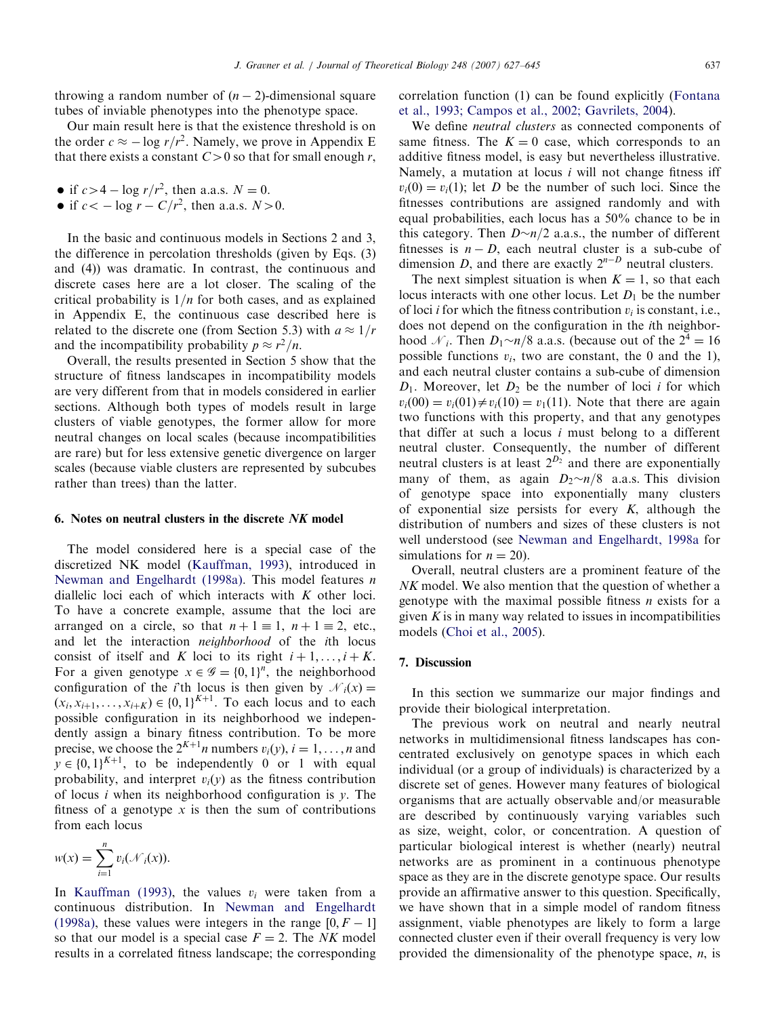throwing a random number of  $(n - 2)$ -dimensional square tubes of inviable phenotypes into the phenotype space.

Our main result here is that the existence threshold is on the order  $c \approx -\log r/r^2$ . Namely, we prove in Appendix E that there exists a constant  $C>0$  so that for small enough r,

- if  $c>4 \log r/r^2$ , then a.a.s.  $N = 0$ .
- if  $c < -\log r C/r^2$ , then a.a.s.  $N > 0$ .

In the basic and continuous models in Sections 2 and 3, the difference in percolation thresholds (given by Eqs. (3) and (4)) was dramatic. In contrast, the continuous and discrete cases here are a lot closer. The scaling of the critical probability is  $1/n$  for both cases, and as explained in Appendix E, the continuous case described here is related to the discrete one (from Section 5.3) with  $a \approx 1/r$ and the incompatibility probability  $p \approx r^2/n$ .

Overall, the results presented in Section 5 show that the structure of fitness landscapes in incompatibility models are very different from that in models considered in earlier sections. Although both types of models result in large clusters of viable genotypes, the former allow for more neutral changes on local scales (because incompatibilities are rare) but for less extensive genetic divergence on larger scales (because viable clusters are represented by subcubes rather than trees) than the latter.

## 6. Notes on neutral clusters in the discrete NK model

The model considered here is a special case of the discretized NK model ([Kauffman, 1993](#page-17-0)), introduced in [Newman and Engelhardt \(1998a\)](#page-17-0). This model features n diallelic loci each of which interacts with K other loci. To have a concrete example, assume that the loci are arranged on a circle, so that  $n + 1 \equiv 1$ ,  $n + 1 \equiv 2$ , etc., and let the interaction neighborhood of the ith locus consist of itself and K loci to its right  $i+1, \ldots, i+K$ . For a given genotype  $x \in \mathscr{G} = \{0, 1\}^n$ , the neighborhood configuration of the *i*'th locus is then given by  $\mathcal{N}_i(x) =$  $(x_i, x_{i+1}, \ldots, x_{i+K}) \in \{0, 1\}^{K+1}$ . To each locus and to each possible configuration in its neighborhood we independently assign a binary fitness contribution. To be more precise, we choose the  $2^{K+1}n$  numbers  $v_i(y)$ ,  $i = 1, \ldots, n$  and  $y \in \{0, 1\}^{K+1}$ , to be independently 0 or 1 with equal probability, and interpret  $v_i(y)$  as the fitness contribution of locus *i* when its neighborhood configuration is  $y$ . The fitness of a genotype  $x$  is then the sum of contributions from each locus

$$
w(x) = \sum_{i=1}^n v_i(\mathcal{N}_i(x)).
$$

In [Kauffman \(1993\)](#page-17-0), the values  $v_i$  were taken from a continuous distribution. In [Newman and Engelhardt](#page-17-0) [\(1998a\)](#page-17-0), these values were integers in the range  $[0, F - 1]$ so that our model is a special case  $F = 2$ . The NK model results in a correlated fitness landscape; the corresponding correlation function (1) can be found explicitly [\(Fontana](#page-17-0) [et al., 1993; Campos et al., 2002; Gavrilets, 2004\)](#page-17-0).

We define *neutral clusters* as connected components of same fitness. The  $K = 0$  case, which corresponds to an additive fitness model, is easy but nevertheless illustrative. Namely, a mutation at locus  $i$  will not change fitness iff  $v_i(0) = v_i(1)$ ; let D be the number of such loci. Since the fitnesses contributions are assigned randomly and with equal probabilities, each locus has a 50% chance to be in this category. Then  $D \sim n/2$  a.a.s., the number of different fitnesses is  $n - D$ , each neutral cluster is a sub-cube of dimension D, and there are exactly  $2^{n-D}$  neutral clusters.

The next simplest situation is when  $K = 1$ , so that each locus interacts with one other locus. Let  $D_1$  be the number of loci *i* for which the fitness contribution  $v_i$  is constant, i.e., does not depend on the configuration in the ith neighborhood  $\mathcal{N}_i$ . Then  $D_1 \sim n/8$  a.a.s. (because out of the  $2^4 = 16$ possible functions  $v_i$ , two are constant, the 0 and the 1), and each neutral cluster contains a sub-cube of dimension  $D_1$ . Moreover, let  $D_2$  be the number of loci *i* for which  $v_i(00) = v_i(01) \neq v_i(10) = v_1(11)$ . Note that there are again two functions with this property, and that any genotypes that differ at such a locus  $i$  must belong to a different neutral cluster. Consequently, the number of different neutral clusters is at least  $2^{D_2}$  and there are exponentially many of them, as again  $D_2 \sim n/8$  a.a.s. This division of genotype space into exponentially many clusters of exponential size persists for every  $K$ , although the distribution of numbers and sizes of these clusters is not well understood (see [Newman and Engelhardt, 1998a](#page-17-0) for simulations for  $n = 20$ ).

Overall, neutral clusters are a prominent feature of the NK model. We also mention that the question of whether a genotype with the maximal possible fitness  $n$  exists for a given  $K$  is in many way related to issues in incompatibilities models [\(Choi et al., 2005\)](#page-17-0).

# 7. Discussion

In this section we summarize our major findings and provide their biological interpretation.

The previous work on neutral and nearly neutral networks in multidimensional fitness landscapes has concentrated exclusively on genotype spaces in which each individual (or a group of individuals) is characterized by a discrete set of genes. However many features of biological organisms that are actually observable and/or measurable are described by continuously varying variables such as size, weight, color, or concentration. A question of particular biological interest is whether (nearly) neutral networks are as prominent in a continuous phenotype space as they are in the discrete genotype space. Our results provide an affirmative answer to this question. Specifically, we have shown that in a simple model of random fitness assignment, viable phenotypes are likely to form a large connected cluster even if their overall frequency is very low provided the dimensionality of the phenotype space,  $n$ , is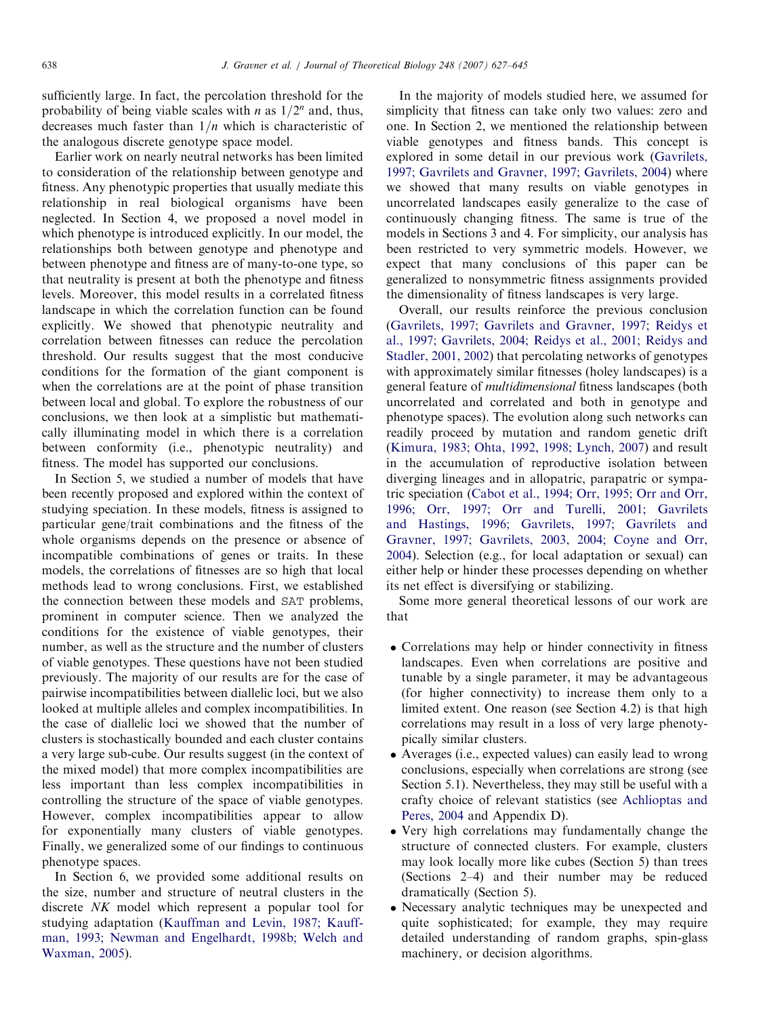sufficiently large. In fact, the percolation threshold for the probability of being viable scales with *n* as  $1/2^n$  and, thus, decreases much faster than  $1/n$  which is characteristic of the analogous discrete genotype space model.

Earlier work on nearly neutral networks has been limited to consideration of the relationship between genotype and fitness. Any phenotypic properties that usually mediate this relationship in real biological organisms have been neglected. In Section 4, we proposed a novel model in which phenotype is introduced explicitly. In our model, the relationships both between genotype and phenotype and between phenotype and fitness are of many-to-one type, so that neutrality is present at both the phenotype and fitness levels. Moreover, this model results in a correlated fitness landscape in which the correlation function can be found explicitly. We showed that phenotypic neutrality and correlation between fitnesses can reduce the percolation threshold. Our results suggest that the most conducive conditions for the formation of the giant component is when the correlations are at the point of phase transition between local and global. To explore the robustness of our conclusions, we then look at a simplistic but mathematically illuminating model in which there is a correlation between conformity (i.e., phenotypic neutrality) and fitness. The model has supported our conclusions.

In Section 5, we studied a number of models that have been recently proposed and explored within the context of studying speciation. In these models, fitness is assigned to particular gene/trait combinations and the fitness of the whole organisms depends on the presence or absence of incompatible combinations of genes or traits. In these models, the correlations of fitnesses are so high that local methods lead to wrong conclusions. First, we established the connection between these models and SAT problems, prominent in computer science. Then we analyzed the conditions for the existence of viable genotypes, their number, as well as the structure and the number of clusters of viable genotypes. These questions have not been studied previously. The majority of our results are for the case of pairwise incompatibilities between diallelic loci, but we also looked at multiple alleles and complex incompatibilities. In the case of diallelic loci we showed that the number of clusters is stochastically bounded and each cluster contains a very large sub-cube. Our results suggest (in the context of the mixed model) that more complex incompatibilities are less important than less complex incompatibilities in controlling the structure of the space of viable genotypes. However, complex incompatibilities appear to allow for exponentially many clusters of viable genotypes. Finally, we generalized some of our findings to continuous phenotype spaces.

In Section 6, we provided some additional results on the size, number and structure of neutral clusters in the discrete NK model which represent a popular tool for studying adaptation ([Kauffman and Levin, 1987; Kauff](#page-17-0)[man, 1993; Newman and Engelhardt, 1998b; Welch and](#page-17-0) [Waxman, 2005](#page-17-0)).

In the majority of models studied here, we assumed for simplicity that fitness can take only two values: zero and one. In Section 2, we mentioned the relationship between viable genotypes and fitness bands. This concept is explored in some detail in our previous work [\(Gavrilets,](#page-17-0) [1997; Gavrilets and Gravner, 1997; Gavrilets, 2004](#page-17-0)) where we showed that many results on viable genotypes in uncorrelated landscapes easily generalize to the case of continuously changing fitness. The same is true of the models in Sections 3 and 4. For simplicity, our analysis has been restricted to very symmetric models. However, we expect that many conclusions of this paper can be generalized to nonsymmetric fitness assignments provided the dimensionality of fitness landscapes is very large.

Overall, our results reinforce the previous conclusion [\(Gavrilets, 1997; Gavrilets and Gravner, 1997; Reidys et](#page-17-0) [al., 1997; Gavrilets, 2004; Reidys et al., 2001; Reidys and](#page-17-0) [Stadler, 2001, 2002](#page-17-0)) that percolating networks of genotypes with approximately similar fitnesses (holey landscapes) is a general feature of multidimensional fitness landscapes (both uncorrelated and correlated and both in genotype and phenotype spaces). The evolution along such networks can readily proceed by mutation and random genetic drift [\(Kimura, 1983; Ohta, 1992, 1998; Lynch, 2007](#page-17-0)) and result in the accumulation of reproductive isolation between diverging lineages and in allopatric, parapatric or sympatric speciation [\(Cabot et al., 1994; Orr, 1995; Orr and Orr,](#page-17-0) [1996; Orr, 1997; Orr and Turelli, 2001; Gavrilets](#page-17-0) [and Hastings, 1996; Gavrilets, 1997; Gavrilets and](#page-17-0) [Gravner, 1997; Gavrilets, 2003, 2004; Coyne and Orr,](#page-17-0) [2004\)](#page-17-0). Selection (e.g., for local adaptation or sexual) can either help or hinder these processes depending on whether its net effect is diversifying or stabilizing.

Some more general theoretical lessons of our work are that

- Correlations may help or hinder connectivity in fitness landscapes. Even when correlations are positive and tunable by a single parameter, it may be advantageous (for higher connectivity) to increase them only to a limited extent. One reason (see Section 4.2) is that high correlations may result in a loss of very large phenotypically similar clusters.
- Averages (i.e., expected values) can easily lead to wrong conclusions, especially when correlations are strong (see Section 5.1). Nevertheless, they may still be useful with a crafty choice of relevant statistics (see [Achlioptas and](#page-17-0) [Peres, 2004](#page-17-0) and Appendix D).
- Very high correlations may fundamentally change the structure of connected clusters. For example, clusters may look locally more like cubes (Section 5) than trees (Sections 2–4) and their number may be reduced dramatically (Section 5).
- Necessary analytic techniques may be unexpected and quite sophisticated; for example, they may require detailed understanding of random graphs, spin-glass machinery, or decision algorithms.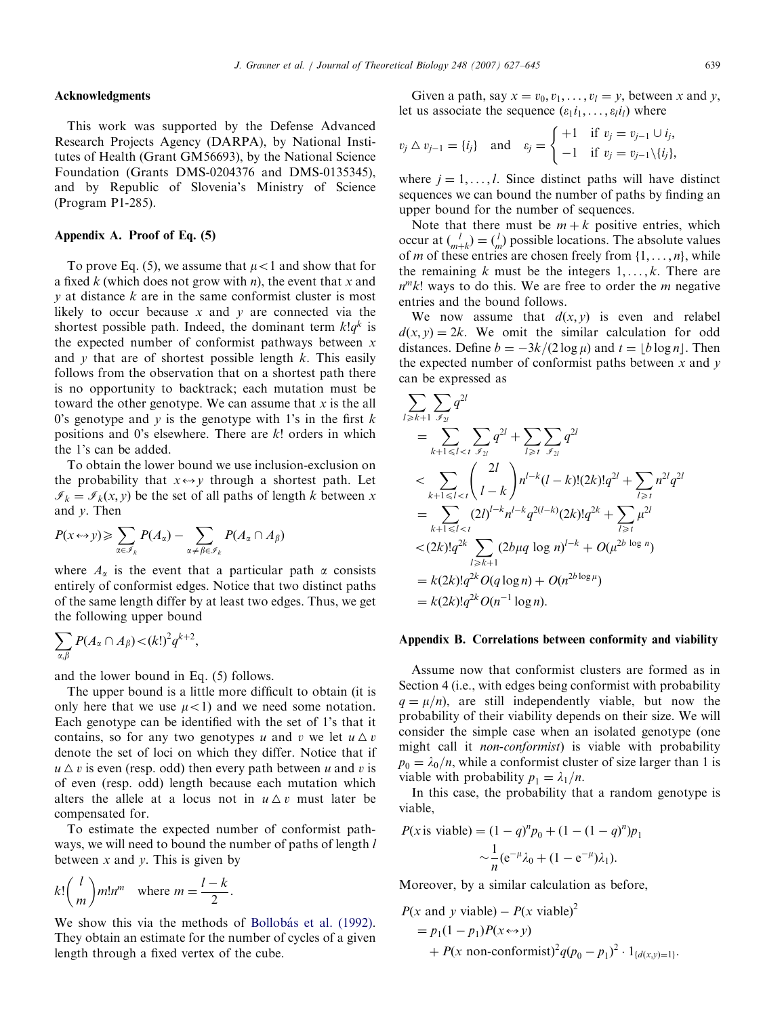#### J. Gravner et al. / Journal of Theoretical Biology 248 (2007) 627–645 639

### Acknowledgments

This work was supported by the Defense Advanced Research Projects Agency (DARPA), by National Institutes of Health (Grant GM56693), by the National Science Foundation (Grants DMS-0204376 and DMS-0135345), and by Republic of Slovenia's Ministry of Science (Program P1-285).

#### Appendix A. Proof of Eq. (5)

To prove Eq. (5), we assume that  $\mu$  < 1 and show that for a fixed k (which does not grow with n), the event that x and  $y$  at distance  $k$  are in the same conformist cluster is most likely to occur because x and y are connected via the shortest possible path. Indeed, the dominant term  $k!q^k$  is the expected number of conformist pathways between  $x$ and  $y$  that are of shortest possible length  $k$ . This easily follows from the observation that on a shortest path there is no opportunity to backtrack; each mutation must be toward the other genotype. We can assume that  $x$  is the all 0's genotype and  $y$  is the genotype with 1's in the first  $k$ positions and 0's elsewhere. There are  $k!$  orders in which the 1's can be added.

To obtain the lower bound we use inclusion-exclusion on the probability that  $x \leftrightarrow y$  through a shortest path. Let  $\mathcal{I}_k = \mathcal{I}_k(x, y)$  be the set of all paths of length k between x and y. Then

$$
P(x \leftrightarrow y) \geqslant \sum_{\alpha \in \mathscr{I}_k} P(A_\alpha) - \sum_{\alpha \neq \beta \in \mathscr{I}_k} P(A_\alpha \cap A_\beta)
$$

where  $A_{\alpha}$  is the event that a particular path  $\alpha$  consists entirely of conformist edges. Notice that two distinct paths of the same length differ by at least two edges. Thus, we get the following upper bound

$$
\sum_{\alpha,\beta} P(A_{\alpha} \cap A_{\beta}) < (k!)^2 q^{k+2},
$$

and the lower bound in Eq. (5) follows.

The upper bound is a little more difficult to obtain (it is only here that we use  $\mu$ <1) and we need some notation. Each genotype can be identified with the set of 1's that it contains, so for any two genotypes u and v we let  $u \Delta v$ denote the set of loci on which they differ. Notice that if  $u \Delta v$  is even (resp. odd) then every path between u and v is of even (resp. odd) length because each mutation which alters the allele at a locus not in  $u \Delta v$  must later be compensated for.

To estimate the expected number of conformist pathways, we will need to bound the number of paths of length  $l$ between x and y. This is given by

$$
k! \binom{l}{m} m! n^m \quad \text{where } m = \frac{l-k}{2}.
$$

We show this via the methods of Bollobás et al. (1992). They obtain an estimate for the number of cycles of a given length through a fixed vertex of the cube.

Given a path, say  $x = v_0, v_1, \ldots, v_l = y$ , between x and y, let us associate the sequence  $(\varepsilon_1 i_1, \dots, \varepsilon_l i_l)$  where

$$
v_j \triangle v_{j-1} = \{i_j\}
$$
 and  $\varepsilon_j = \begin{cases} +1 & \text{if } v_j = v_{j-1} \cup i_j, \\ -1 & \text{if } v_j = v_{j-1} \setminus \{i_j\}, \end{cases}$ 

where  $j = 1, \ldots, l$ . Since distinct paths will have distinct sequences we can bound the number of paths by finding an upper bound for the number of sequences.

Note that there must be  $m + k$  positive entries, which occur at  $\binom{l}{m+k} = \binom{l}{m}$  possible locations. The absolute values of *m* of these entries are chosen freely from  $\{1, \ldots, n\}$ , while the remaining k must be the integers  $1, \ldots, k$ . There are  $n^m k!$  ways to do this. We are free to order the *m* negative entries and the bound follows.

We now assume that  $d(x, y)$  is even and relabel  $d(x, y) = 2k$ . We omit the similar calculation for odd distances. Define  $b = -3k/(2 \log \mu)$  and  $t = |b \log n|$ . Then the expected number of conformist paths between  $x$  and  $y$ can be expressed as

$$
\sum_{l \ge k+1} \sum_{j \ge l} q^{2l}
$$
\n
$$
= \sum_{k+1 \le l < t} \sum_{j \ge l} q^{2l} + \sum_{l \ge l} \sum_{j \ge l} q^{2l}
$$
\n
$$
< \sum_{k+1 \le l < t} {2l \choose l-k} n^{l-k} (l-k)! (2k)! q^{2l} + \sum_{l \ge l} n^{2l} q^{2l}
$$
\n
$$
= \sum_{k+1 \le l < t} (2l)^{l-k} n^{l-k} q^{2(l-k)} (2k)! q^{2k} + \sum_{l \ge l} \mu^{2l}
$$
\n
$$
< (2k)! q^{2k} \sum_{l \ge k+1} (2b\mu q \log n)^{l-k} + O(\mu^{2b \log n})
$$
\n
$$
= k(2k)! q^{2k} O(q \log n) + O(n^{2b \log \mu})
$$
\n
$$
= k(2k)! q^{2k} O(n^{-1} \log n).
$$

#### Appendix B. Correlations between conformity and viability

Assume now that conformist clusters are formed as in Section 4 (i.e., with edges being conformist with probability  $q = \mu/n$ , are still independently viable, but now the probability of their viability depends on their size. We will consider the simple case when an isolated genotype (one might call it non-conformist) is viable with probability  $p_0 = \lambda_0/n$ , while a conformist cluster of size larger than 1 is viable with probability  $p_1 = \lambda_1/n$ .

In this case, the probability that a random genotype is viable,

$$
P(x \text{ is viable}) = (1 - q)^n p_0 + (1 - (1 - q)^n) p_1
$$

$$
\sim \frac{1}{n} (e^{-\mu} \lambda_0 + (1 - e^{-\mu}) \lambda_1).
$$

Moreover, by a similar calculation as before,

$$
P(x \text{ and } y \text{ viable}) - P(x \text{ viable})^2
$$
  
=  $p_1(1 - p_1)P(x \leftrightarrow y)$   
+  $P(x \text{ non-conformist})^2q(p_0 - p_1)^2 \cdot 1_{\{d(x,y)=1\}}.$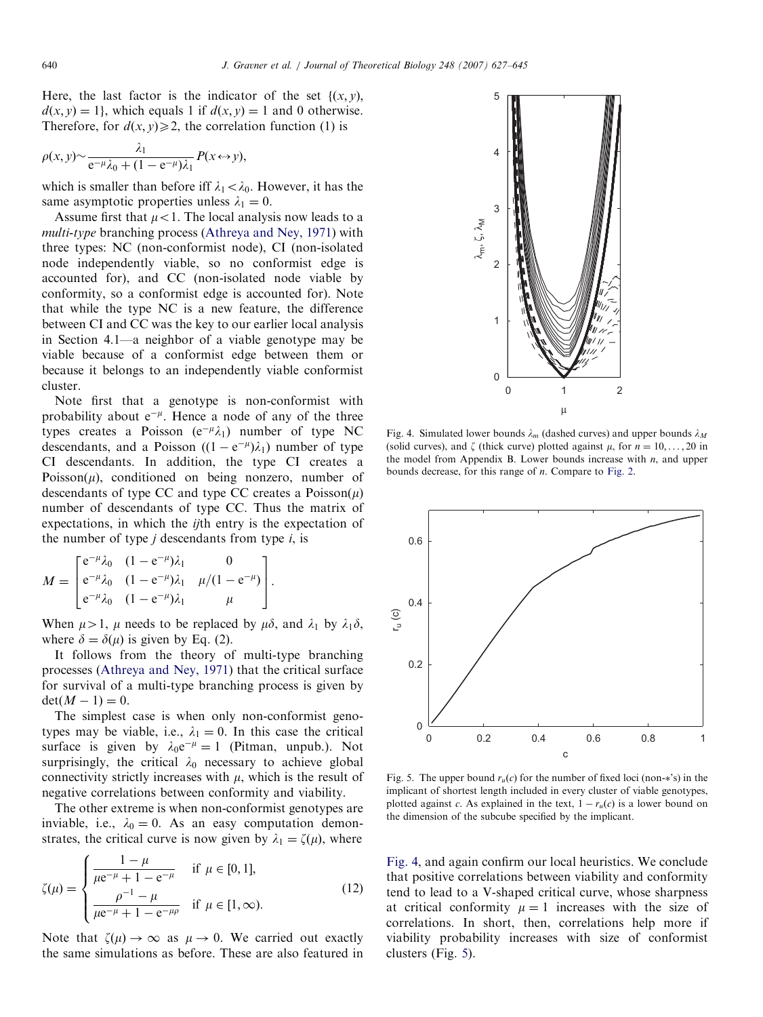<span id="page-13-0"></span>Here, the last factor is the indicator of the set  $\{(x, y),\}$  $d(x, y) = 1$ , which equals 1 if  $d(x, y) = 1$  and 0 otherwise. Therefore, for  $d(x, y) \ge 2$ , the correlation function (1) is

$$
\rho(x,y) \sim \frac{\lambda_1}{e^{-\mu}\lambda_0 + (1 - e^{-\mu})\lambda_1} P(x \leftrightarrow y),
$$

which is smaller than before iff  $\lambda_1 < \lambda_0$ . However, it has the same asymptotic properties unless  $\lambda_1 = 0$ .

Assume first that  $\mu$ <1. The local analysis now leads to a multi-type branching process [\(Athreya and Ney, 1971](#page-17-0)) with three types: NC (non-conformist node), CI (non-isolated node independently viable, so no conformist edge is accounted for), and CC (non-isolated node viable by conformity, so a conformist edge is accounted for). Note that while the type NC is a new feature, the difference between CI and CC was the key to our earlier local analysis in Section 4.1—a neighbor of a viable genotype may be viable because of a conformist edge between them or because it belongs to an independently viable conformist cluster.

Note first that a genotype is non-conformist with probability about  $e^{-\mu}$ . Hence a node of any of the three types creates a Poisson  $(e^{-\mu}\lambda_1)$  number of type NC descendants, and a Poisson  $((1 - e^{-\mu})\lambda_1)$  number of type CI descendants. In addition, the type CI creates a Poisson( $\mu$ ), conditioned on being nonzero, number of descendants of type CC and type CC creates a  $Poisson(\mu)$ number of descendants of type CC. Thus the matrix of expectations, in which the *ij*th entry is the expectation of the number of type  $j$  descendants from type  $i$ , is

$$
M = \begin{bmatrix} e^{-\mu} \lambda_0 & (1 - e^{-\mu})\lambda_1 & 0 \\ e^{-\mu} \lambda_0 & (1 - e^{-\mu})\lambda_1 & \mu/(1 - e^{-\mu}) \\ e^{-\mu} \lambda_0 & (1 - e^{-\mu})\lambda_1 & \mu \end{bmatrix}.
$$

When  $\mu > 1$ ,  $\mu$  needs to be replaced by  $\mu \delta$ , and  $\lambda_1$  by  $\lambda_1 \delta$ , where  $\delta = \delta(\mu)$  is given by Eq. (2).

It follows from the theory of multi-type branching processes ([Athreya and Ney, 1971\)](#page-17-0) that the critical surface for survival of a multi-type branching process is given by  $det(M - 1) = 0.$ 

The simplest case is when only non-conformist genotypes may be viable, i.e.,  $\lambda_1 = 0$ . In this case the critical surface is given by  $\lambda_0 e^{-\mu} = 1$  (Pitman, unpub.). Not surprisingly, the critical  $\lambda_0$  necessary to achieve global connectivity strictly increases with  $\mu$ , which is the result of negative correlations between conformity and viability.

The other extreme is when non-conformist genotypes are inviable, i.e.,  $\lambda_0 = 0$ . As an easy computation demonstrates, the critical curve is now given by  $\lambda_1 = \zeta(\mu)$ , where

$$
\zeta(\mu) = \begin{cases}\n\frac{1 - \mu}{\mu e^{-\mu} + 1 - e^{-\mu}} & \text{if } \mu \in [0, 1], \\
\frac{\rho^{-1} - \mu}{\mu e^{-\mu} + 1 - e^{-\mu\rho}} & \text{if } \mu \in [1, \infty).\n\end{cases}
$$
\n(12)

Note that  $\zeta(\mu) \to \infty$  as  $\mu \to 0$ . We carried out exactly the same simulations as before. These are also featured in



Fig. 4. Simulated lower bounds  $\lambda_m$  (dashed curves) and upper bounds  $\lambda_M$ (solid curves), and  $\zeta$  (thick curve) plotted against  $\mu$ , for  $n = 10, \ldots, 20$  in the model from Appendix B. Lower bounds increase with  $n$ , and upper bounds decrease, for this range of  $n$ . Compare to [Fig. 2](#page-6-0).



Fig. 5. The upper bound  $r_u(c)$  for the number of fixed loci (non-\*'s) in the implicant of shortest length included in every cluster of viable genotypes, plotted against c. As explained in the text,  $1 - r_u(c)$  is a lower bound on the dimension of the subcube specified by the implicant.

Fig. 4, and again confirm our local heuristics. We conclude that positive correlations between viability and conformity tend to lead to a V-shaped critical curve, whose sharpness at critical conformity  $\mu = 1$  increases with the size of correlations. In short, then, correlations help more if viability probability increases with size of conformist clusters (Fig. 5).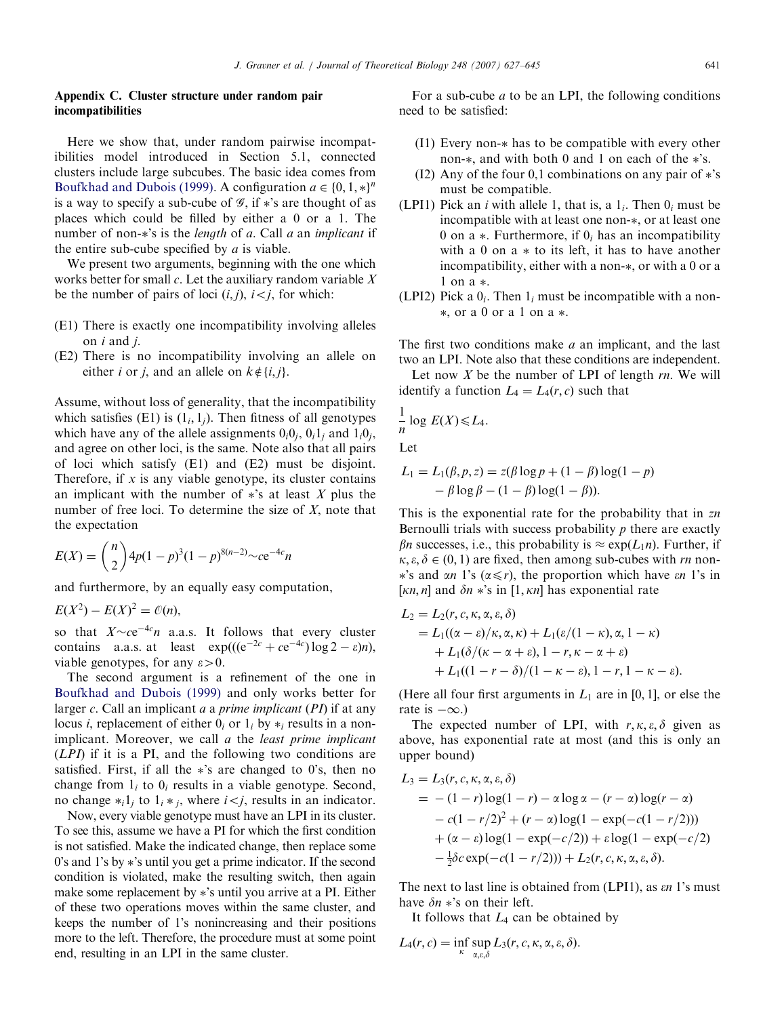# Appendix C. Cluster structure under random pair incompatibilities

Here we show that, under random pairwise incompatibilities model introduced in Section 5.1, connected clusters include large subcubes. The basic idea comes from [Boufkhad and Dubois \(1999\).](#page-17-0) A configuration  $a \in \{0, 1, *\}^n$ is a way to specify a sub-cube of  $\mathscr{G}$ , if  $\ast$ 's are thought of as places which could be filled by either a 0 or a 1. The number of non-\*'s is the *length* of a. Call a an *implicant* if the entire sub-cube specified by  $a$  is viable.

We present two arguments, beginning with the one which works better for small  $c$ . Let the auxiliary random variable  $X$ be the number of pairs of loci  $(i, j)$ ,  $i < j$ , for which:

- (E1) There is exactly one incompatibility involving alleles on  $i$  and  $j$ .
- (E2) There is no incompatibility involving an allele on either *i* or *j*, and an allele on  $k \notin \{i, j\}$ .

Assume, without loss of generality, that the incompatibility which satisfies (E1) is  $(1_i, 1_j)$ . Then fitness of all genotypes which have any of the allele assignments  $0_i0_i$ ,  $0_i1_i$  and  $1_i0_i$ , and agree on other loci, is the same. Note also that all pairs of loci which satisfy (E1) and (E2) must be disjoint. Therefore, if  $x$  is any viable genotype, its cluster contains an implicant with the number of  $\ast$ 's at least X plus the number of free loci. To determine the size of  $X$ , note that the expectation

$$
E(X) = {n \choose 2} 4p(1-p)^3(1-p)^{8(n-2)} \sim c e^{-4c} n
$$

and furthermore, by an equally easy computation,

$$
E(X^2) - E(X)^2 = \mathcal{O}(n),
$$

so that  $X \sim ce^{-4c}n$  a.a.s. It follows that every cluster contains a.a.s. at least  $\exp(((e^{-2c} + ce^{-4c}) \log 2 - \varepsilon)n)$ , viable genotypes, for any  $\varepsilon > 0$ .

The second argument is a refinement of the one in [Boufkhad and Dubois \(1999\)](#page-17-0) and only works better for larger c. Call an implicant a a prime implicant  $(PI)$  if at any locus *i*, replacement of either  $0_i$  or  $1_i$  by  $*_i$  results in a nonimplicant. Moreover, we call a the *least prime implicant* (LPI) if it is a PI, and the following two conditions are satisfied. First, if all the 's are changed to 0's, then no change from  $1_i$  to  $0_i$  results in a viable genotype. Second, no change  $*_i 1_j$  to  $1_i *_j$ , where  $i < j$ , results in an indicator.

Now, every viable genotype must have an LPI in its cluster. To see this, assume we have a PI for which the first condition is not satisfied. Make the indicated change, then replace some 0's and 1's by 's until you get a prime indicator. If the second condition is violated, make the resulting switch, then again make some replacement by 's until you arrive at a PI. Either of these two operations moves within the same cluster, and keeps the number of 1's nonincreasing and their positions more to the left. Therefore, the procedure must at some point end, resulting in an LPI in the same cluster.

For a sub-cube  $a$  to be an LPI, the following conditions need to be satisfied:

- (I1) Every non- has to be compatible with every other non-\*, and with both 0 and 1 on each of the \*'s.
- (I2) Any of the four 0,1 combinations on any pair of  $\ast$ 's must be compatible.
- (LPI1) Pick an *i* with allele 1, that is, a  $1<sub>i</sub>$ . Then  $0<sub>i</sub>$  must be incompatible with at least one non-\*, or at least one 0 on a  $*$ . Furthermore, if  $0<sub>i</sub>$  has an incompatibility with a 0 on  $a *$  to its left, it has to have another incompatibility, either with a non-\*, or with a 0 or a 1 on a .
- (LPI2) Pick a  $0<sub>i</sub>$ . Then  $1<sub>i</sub>$  must be incompatible with a non-, or a 0 or a 1 on a .

The first two conditions make  $a$  an implicant, and the last two an LPI. Note also that these conditions are independent.

Let now  $X$  be the number of LPI of length  $rn$ . We will identify a function  $L_4 = L_4(r, c)$  such that

$$
\frac{1}{n}\log E(X)\leq L_4.
$$

Let

$$
L_1 = L_1(\beta, p, z) = z(\beta \log p + (1 - \beta) \log(1 - p)
$$

$$
- \beta \log \beta - (1 - \beta) \log(1 - \beta)).
$$

This is the exponential rate for the probability that in  $zn$ Bernoulli trials with success probability  $p$  there are exactly  $\beta$ n successes, i.e., this probability is  $\approx \exp(L_1 n)$ . Further, if  $\kappa, \varepsilon, \delta \in (0, 1)$  are fixed, then among sub-cubes with rn non-\*'s and  $\alpha n$  1's ( $\alpha \leq r$ ), the proportion which have  $\epsilon n$  1's in [ $\kappa n$ , n] and  $\delta n *$ 's in [1,  $\kappa n$ ] has exponential rate

$$
L_2 = L_2(r, c, \kappa, \alpha, \varepsilon, \delta)
$$
  
= L<sub>1</sub>((\alpha - \varepsilon)/\kappa, \alpha, \kappa) + L\_1(\varepsilon/(1 - \kappa), \alpha, 1 - \kappa)  
+ L\_1(\delta/(\kappa - \alpha + \varepsilon), 1 - r, \kappa - \alpha + \varepsilon)  
+ L\_1((1 - r - \delta)/(1 - \kappa - \varepsilon), 1 - r, 1 - \kappa - \varepsilon).

(Here all four first arguments in  $L_1$  are in [0, 1], or else the rate is  $-\infty$ .)

The expected number of LPI, with  $r, \kappa, \varepsilon, \delta$  given as above, has exponential rate at most (and this is only an upper bound)

$$
L_3 = L_3(r, c, \kappa, \alpha, \varepsilon, \delta)
$$
  
= - (1 - r) log(1 - r) -  $\alpha$  log  $\alpha$  - (r -  $\alpha$ ) log(r -  $\alpha$ )  
- c(1 - r/2)<sup>2</sup> + (r -  $\alpha$ ) log(1 - exp(-c(1 - r/2)))  
+ ( $\alpha$  -  $\varepsilon$ ) log(1 - exp(-c/2)) +  $\varepsilon$  log(1 - exp(-c/2))  
-  $\frac{1}{2}\delta c$  exp(-c(1 - r/2))) + L<sub>2</sub>(r, c, \kappa, \alpha, \varepsilon, \delta).

The next to last line is obtained from  $(LPI1)$ , as  $\epsilon n$  1's must have  $\delta n *$ 's on their left.

It follows that  $L_4$  can be obtained by

$$
L_4(r, c) = \inf_{\kappa} \sup_{\alpha, \varepsilon, \delta} L_3(r, c, \kappa, \alpha, \varepsilon, \delta).
$$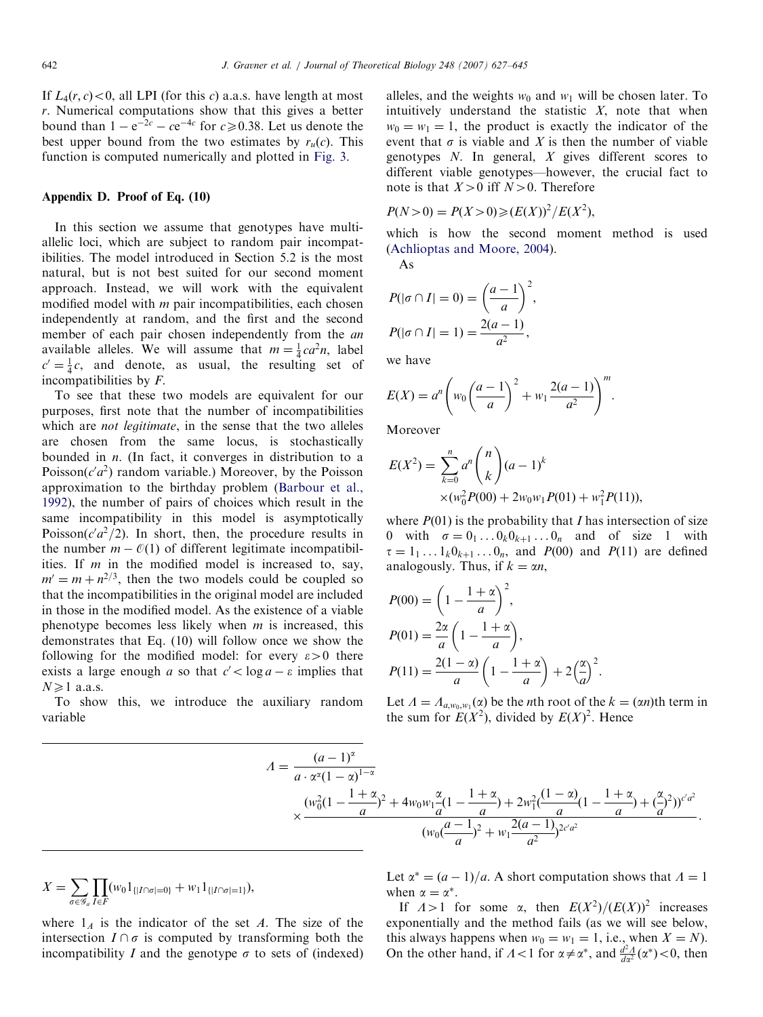If  $L_4(r, c) < 0$ , all LPI (for this c) a.a.s. have length at most r. Numerical computations show that this gives a better bound than  $1 - e^{-2c} - ce^{-4c}$  for  $c \ge 0.38$ . Let us denote the best upper bound from the two estimates by  $r_u(c)$ . This function is computed numerically and plotted in [Fig. 3](#page-8-0).

## Appendix D. Proof of Eq. (10)

In this section we assume that genotypes have multiallelic loci, which are subject to random pair incompatibilities. The model introduced in Section 5.2 is the most natural, but is not best suited for our second moment approach. Instead, we will work with the equivalent modified model with  $m$  pair incompatibilities, each chosen independently at random, and the first and the second member of each pair chosen independently from the *an* available alleles. We will assume that  $m = \frac{1}{4}ca^2n$ , label  $c' = \frac{1}{4}c$ , and denote, as usual, the resulting set of incompatibilities by F.

To see that these two models are equivalent for our purposes, first note that the number of incompatibilities which are *not legitimate*, in the sense that the two alleles are chosen from the same locus, is stochastically bounded in  $n$ . (In fact, it converges in distribution to a Poisson( $c'a^2$ ) random variable.) Moreover, by the Poisson approximation to the birthday problem [\(Barbour et al.,](#page-17-0) [1992\)](#page-17-0), the number of pairs of choices which result in the same incompatibility in this model is asymptotically Poisson( $c'd^2/2$ ). In short, then, the procedure results in the number  $m - \mathcal{O}(1)$  of different legitimate incompatibilities. If  $m$  in the modified model is increased to, say,  $m' = m + n^{2/3}$ , then the two models could be coupled so that the incompatibilities in the original model are included in those in the modified model. As the existence of a viable phenotype becomes less likely when  $m$  is increased, this demonstrates that Eq. (10) will follow once we show the following for the modified model: for every  $\varepsilon > 0$  there exists a large enough a so that  $c' < \log a - \varepsilon$  implies that  $N \geq 1$  a.a.s.

To show this, we introduce the auxiliary random variable

alleles, and the weights  $w_0$  and  $w_1$  will be chosen later. To intuitively understand the statistic  $X$ , note that when  $w_0 = w_1 = 1$ , the product is exactly the indicator of the event that  $\sigma$  is viable and X is then the number of viable genotypes  $N$ . In general,  $X$  gives different scores to different viable genotypes—however, the crucial fact to note is that  $X>0$  iff  $N>0$ . Therefore

$$
P(N > 0) = P(X > 0) \ge (E(X))^2 / E(X^2),
$$

which is how the second moment method is used [\(Achlioptas and Moore, 2004\)](#page-16-0).

As

$$
P(|\sigma \cap I| = 0) = \left(\frac{a-1}{a}\right)^2,
$$
  

$$
P(|\sigma \cap I| = 1) = \frac{2(a-1)}{a^2},
$$

we have

$$
E(X) = a^n \left( w_0 \left( \frac{a-1}{a} \right)^2 + w_1 \frac{2(a-1)}{a^2} \right)^m.
$$

Moreover

$$
E(X^{2}) = \sum_{k=0}^{n} a^{n} {n \choose k} (a-1)^{k}
$$
  
× $(w_{0}^{2}P(00) + 2w_{0}w_{1}P(01) + w_{1}^{2}P(11)),$ 

where  $P(01)$  is the probability that I has intersection of size 0 with  $\sigma = 0_1 \dots 0_k 0_{k+1} \dots 0_n$  and of size 1 with  $\tau = 1_1 \dots 1_k 0_{k+1} \dots 0_n$ , and  $P(00)$  and  $P(11)$  are defined analogously. Thus, if  $k = \alpha n$ ,

$$
P(00) = \left(1 - \frac{1 + \alpha}{a}\right)^2,
$$
  
\n
$$
P(01) = \frac{2\alpha}{a} \left(1 - \frac{1 + \alpha}{a}\right),
$$
  
\n
$$
P(11) = \frac{2(1 - \alpha)}{a} \left(1 - \frac{1 + \alpha}{a}\right) + 2\left(\frac{\alpha}{a}\right)^2.
$$

Let  $\Lambda = \Lambda_{a,w_0,w_1}(\alpha)$  be the *n*th root of the  $k = (\alpha n)$ th term in the sum for  $E(X^2)$ , divided by  $E(X)^2$ . Hence

$$
A = \frac{(a-1)^{\alpha}}{a \cdot \alpha^{\alpha}(1-\alpha)^{1-\alpha}} \times \frac{(w_0^2(1-\frac{1+\alpha}{a})^2 + 4w_0w_1\frac{\alpha}{a}(1-\frac{1+\alpha}{a}) + 2w_1^2(\frac{(1-\alpha)}{a}(1-\frac{1+\alpha}{a}) + (\frac{\alpha}{a})^2))^{c'a^2}}{(w_0(\frac{a-1}{a})^2 + w_1\frac{2(a-1)}{a^2})^{2c'a^2}}.
$$

$$
X = \sum_{\sigma \in \mathscr{G}_a} \prod_{I \in F} (w_0 1_{\{|I \cap \sigma| = 0\}} + w_1 1_{\{|I \cap \sigma| = 1\}}),
$$

where  $1_A$  is the indicator of the set A. The size of the intersection  $I \cap \sigma$  is computed by transforming both the incompatibility I and the genotype  $\sigma$  to sets of (indexed) Let  $\alpha^* = (a-1)/a$ . A short computation shows that  $\Lambda = 1$ when  $\alpha = \alpha^*$ .

If  $\Lambda > 1$  for some  $\alpha$ , then  $E(X^2)/(E(X))^2$  increases exponentially and the method fails (as we will see below, this always happens when  $w_0 = w_1 = 1$ , i.e., when  $X = N$ ). On the other hand, if  $\Lambda < 1$  for  $\alpha \neq \alpha^*$ , and  $\frac{d^2A}{da^2}(\alpha^*) < 0$ , then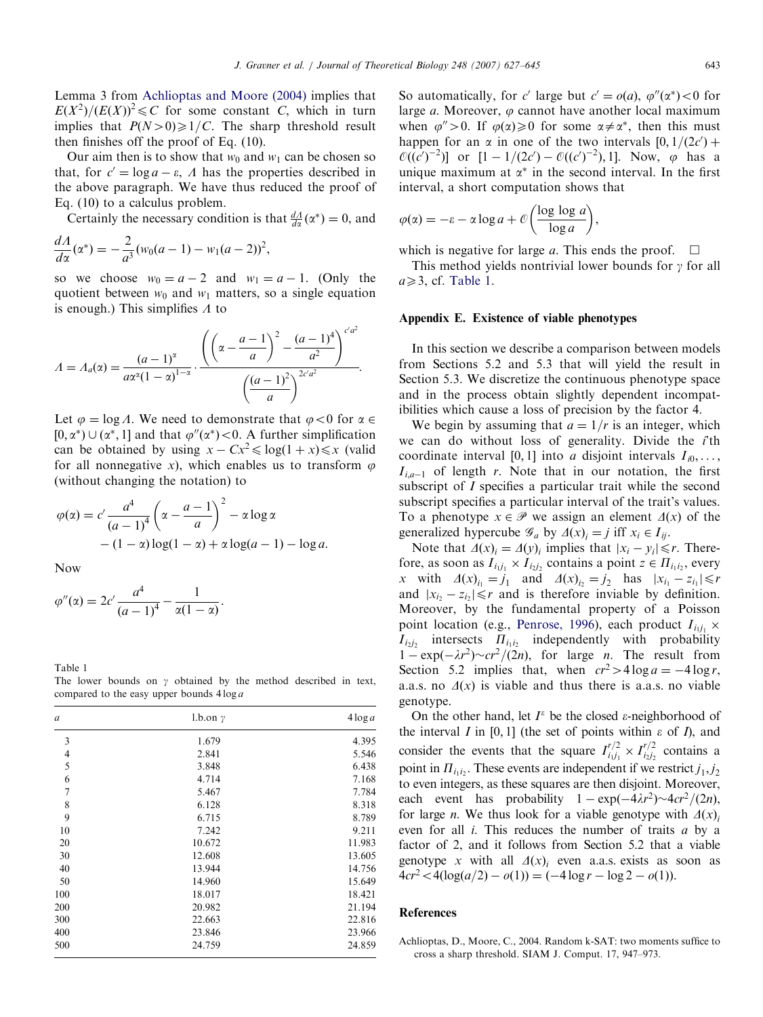<span id="page-16-0"></span>Lemma 3 from Achlioptas and Moore (2004) implies that  $E(X^2)/(E(X))^2 \leq C$  for some constant C, which in turn implies that  $P(N>0) \ge 1/C$ . The sharp threshold result then finishes off the proof of Eq. (10).

Our aim then is to show that  $w_0$  and  $w_1$  can be chosen so that, for  $c' = \log a - \varepsilon$ ,  $\Lambda$  has the properties described in the above paragraph. We have thus reduced the proof of Eq. (10) to a calculus problem.

Certainly the necessary condition is that  $\frac{dA}{dx}(\alpha^*) = 0$ , and

$$
\frac{dA}{d\alpha}(\alpha^*) = -\frac{2}{a^3}(w_0(a-1) - w_1(a-2))^2,
$$

so we choose  $w_0 = a - 2$  and  $w_1 = a - 1$ . (Only the quotient between  $w_0$  and  $w_1$  matters, so a single equation is enough.) This simplifies  $\Lambda$  to

$$
A = A_a(\alpha) = \frac{(a-1)^{\alpha}}{a\alpha^{\alpha}(1-\alpha)^{1-\alpha}} \cdot \frac{\left(\left(\alpha - \frac{a-1}{a}\right)^2 - \frac{(a-1)^4}{a^2}\right)^{c'a^2}}{\left(\frac{(a-1)^2}{a}\right)^{2c'a^2}}.
$$

Let  $\varphi = \log A$ . We need to demonstrate that  $\varphi < 0$  for  $\alpha \in \mathcal{C}$ [0,  $\alpha^*$ )  $\cup$  ( $\alpha^*$ , 1] and that  $\varphi''(\alpha^*)$  < 0. A further simplification can be obtained by using  $x - Cx^2 \leq \log(1 + x) \leq x$  (valid for all nonnegative x), which enables us to transform  $\varphi$ (without changing the notation) to

$$
\varphi(\alpha) = c' \frac{a^4}{(a-1)^4} \left(\alpha - \frac{a-1}{a}\right)^2 - \alpha \log \alpha
$$

$$
- (1-\alpha) \log(1-\alpha) + \alpha \log(a-1) - \log a.
$$

Now

$$
\varphi''(\alpha) = 2c' \frac{a^4}{(a-1)^4} - \frac{1}{\alpha(1-\alpha)}.
$$

Table 1 The lower bounds on  $\gamma$  obtained by the method described in text, compared to the easy upper bounds  $4 \log a$ 

| $\boldsymbol{a}$ | $1.b.$ on $\gamma$ | $4\log a$ |
|------------------|--------------------|-----------|
| 3                | 1.679              | 4.395     |
| $\overline{4}$   | 2.841              | 5.546     |
| 5                | 3.848              | 6.438     |
| 6                | 4.714              | 7.168     |
| 7                | 5.467              | 7.784     |
| 8                | 6.128              | 8.318     |
| 9                | 6.715              | 8.789     |
| 10               | 7.242              | 9.211     |
| 20               | 10.672             | 11.983    |
| 30               | 12.608             | 13.605    |
| 40               | 13.944             | 14.756    |
| 50               | 14.960             | 15.649    |
| 100              | 18.017             | 18.421    |
| 200              | 20.982             | 21.194    |
| 300              | 22.663             | 22.816    |
| 400              | 23.846             | 23.966    |
| 500              | 24.759             | 24.859    |

So automatically, for c' large but  $c' = o(a)$ ,  $\varphi''(\alpha^*) < 0$  for large *a*. Moreover,  $\varphi$  cannot have another local maximum when  $\varphi'' > 0$ . If  $\varphi(\alpha) \ge 0$  for some  $\alpha \ne \alpha^*$ , then this must happen for an  $\alpha$  in one of the two intervals  $[0, 1/(2c<sup>2</sup>) +$  $\mathcal{O}((c')^{-2})$  or  $[1 - 1/(2c') - \mathcal{O}((c')^{-2}), 1]$ . Now,  $\varphi$  has a unique maximum at  $\alpha^*$  in the second interval. In the first interval, a short computation shows that

$$
\varphi(\alpha) = -\varepsilon - \alpha \log a + \mathcal{O}\left(\frac{\log \log a}{\log a}\right),\,
$$

which is negative for large a. This ends the proof.  $\Box$ 

This method yields nontrivial lower bounds for  $\gamma$  for all  $a \geqslant 3$ , cf. Table 1.

## Appendix E. Existence of viable phenotypes

In this section we describe a comparison between models from Sections 5.2 and 5.3 that will yield the result in Section 5.3. We discretize the continuous phenotype space and in the process obtain slightly dependent incompatibilities which cause a loss of precision by the factor 4.

We begin by assuming that  $a = 1/r$  is an integer, which we can do without loss of generality. Divide the  $\ddot{i}$ <sup>th</sup> coordinate interval [0, 1] into *a* disjoint intervals  $I_{i0}, \ldots$ ,  $I_{i,q-1}$  of length r. Note that in our notation, the first subscript of I specifies a particular trait while the second subscript specifies a particular interval of the trait's values. To a phenotype  $x \in \mathcal{P}$  we assign an element  $\Delta(x)$  of the generalized hypercube  $\mathcal{G}_a$  by  $\Delta(x)_i = j$  iff  $x_i \in I_{ij}$ .

Note that  $\Delta(x)$ <sub>i</sub> =  $\Delta(y)$ <sub>i</sub> implies that  $|x_i - y_i| \le r$ . Therefore, as soon as  $I_{i_1j_1} \times I_{i_2j_2}$  contains a point  $z \in \Pi_{i_1i_2}$ , every x with  $\Delta(x)_{i_1} = j_1$  and  $\Delta(x)_{i_2} = j_2$  has  $|x_{i_1} - z_{i_1}| \le r$ and  $|x_{i2} - z_{i2}| \le r$  and is therefore inviable by definition. Moreover, by the fundamental property of a Poisson point location (e.g., [Penrose, 1996](#page-17-0)), each product  $I_{i_1j_1}$  x  $I_{i_2i_2}$  intersects  $\Pi_{i_1i_2}$  independently with probability  $1 - \exp(-\lambda r^2) \sim cr^2/(2n)$ , for large n. The result from Section 5.2 implies that, when  $cr^2 > 4 \log a = -4 \log r$ , a.a.s. no  $\Delta(x)$  is viable and thus there is a.a.s. no viable genotype.

On the other hand, let  $I^{\varepsilon}$  be the closed  $\varepsilon$ -neighborhood of the interval I in [0, 1] (the set of points within  $\varepsilon$  of I), and consider the events that the square  $I_{i_1j_1}^{r/2} \times I_{i_2j_2}^{r/2}$  contains a point in  $\Pi_{i_1i_2}$ . These events are independent if we restrict  $j_1, j_2$ to even integers, as these squares are then disjoint. Moreover, each event has probability  $1 - \exp(-4\lambda r^2) \sim 4cr^2/(2n)$ , for large *n*. We thus look for a viable genotype with  $\Delta(x)$ even for all i. This reduces the number of traits a by a factor of 2, and it follows from Section 5.2 that a viable genotype x with all  $\Delta(x)$ , even a.a.s. exists as soon as  $4cr^2 < 4(\log(a/2) - o(1)) = (-4\log r - \log 2 - o(1)).$ 

## References

Achlioptas, D., Moore, C., 2004. Random k-SAT: two moments suffice to cross a sharp threshold. SIAM J. Comput. 17, 947–973.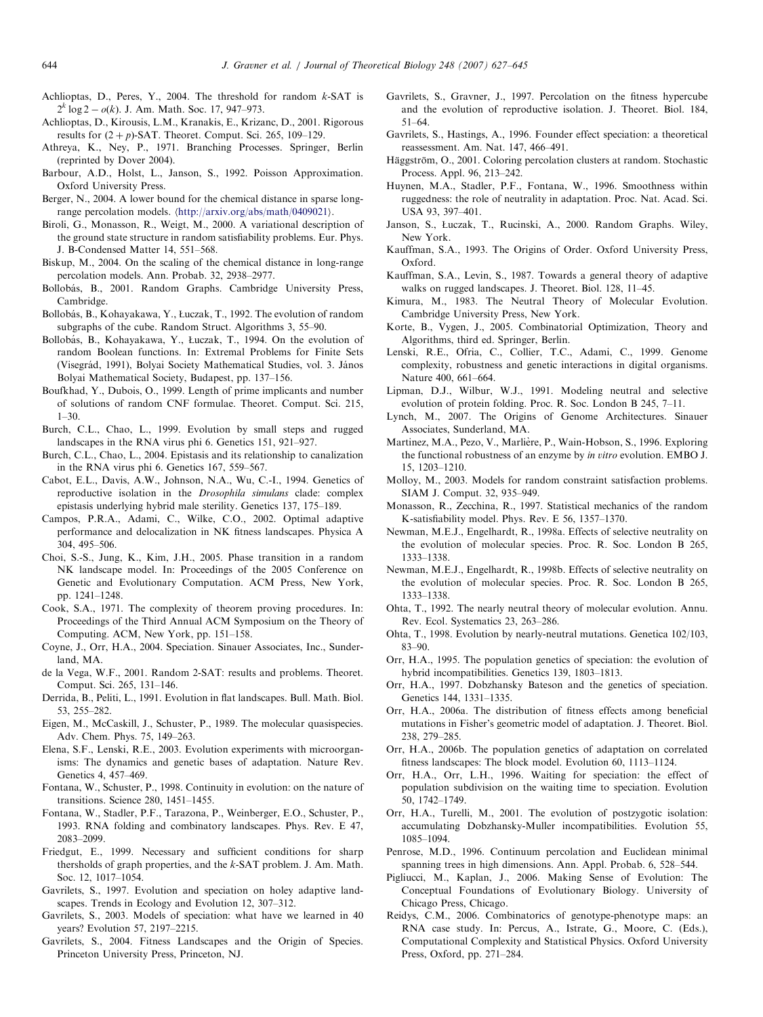- <span id="page-17-0"></span>Achlioptas, D., Peres, Y., 2004. The threshold for random  $k$ -SAT is  $2^{k} \log 2 - o(k)$ . J. Am. Math. Soc. 17, 947–973.
- Achlioptas, D., Kirousis, L.M., Kranakis, E., Krizanc, D., 2001. Rigorous results for  $(2 + p)$ -SAT. Theoret. Comput. Sci. 265, 109–129.
- Athreya, K., Ney, P., 1971. Branching Processes. Springer, Berlin (reprinted by Dover 2004).
- Barbour, A.D., Holst, L., Janson, S., 1992. Poisson Approximation. Oxford University Press.
- Berger, N., 2004. A lower bound for the chemical distance in sparse longrange percolation models. (<http://arxiv.org/abs/math/0409021>).
- Biroli, G., Monasson, R., Weigt, M., 2000. A variational description of the ground state structure in random satisfiability problems. Eur. Phys. J. B-Condensed Matter 14, 551–568.
- Biskup, M., 2004. On the scaling of the chemical distance in long-range percolation models. Ann. Probab. 32, 2938–2977.
- Bollobás, B., 2001. Random Graphs. Cambridge University Press, Cambridge.
- Bollobás, B., Kohayakawa, Y., Łuczak, T., 1992. The evolution of random subgraphs of the cube. Random Struct. Algorithms 3, 55–90.
- Bollobás, B., Kohayakawa, Y., Łuczak, T., 1994. On the evolution of random Boolean functions. In: Extremal Problems for Finite Sets (Visegrád, 1991), Bolyai Society Mathematical Studies, vol. 3. János Bolyai Mathematical Society, Budapest, pp. 137–156.
- Boufkhad, Y., Dubois, O., 1999. Length of prime implicants and number of solutions of random CNF formulae. Theoret. Comput. Sci. 215, 1–30.
- Burch, C.L., Chao, L., 1999. Evolution by small steps and rugged landscapes in the RNA virus phi 6. Genetics 151, 921–927.
- Burch, C.L., Chao, L., 2004. Epistasis and its relationship to canalization in the RNA virus phi 6. Genetics 167, 559–567.
- Cabot, E.L., Davis, A.W., Johnson, N.A., Wu, C.-I., 1994. Genetics of reproductive isolation in the Drosophila simulans clade: complex epistasis underlying hybrid male sterility. Genetics 137, 175–189.
- Campos, P.R.A., Adami, C., Wilke, C.O., 2002. Optimal adaptive performance and delocalization in NK fitness landscapes. Physica A 304, 495–506.
- Choi, S.-S., Jung, K., Kim, J.H., 2005. Phase transition in a random NK landscape model. In: Proceedings of the 2005 Conference on Genetic and Evolutionary Computation. ACM Press, New York, pp. 1241–1248.
- Cook, S.A., 1971. The complexity of theorem proving procedures. In: Proceedings of the Third Annual ACM Symposium on the Theory of Computing. ACM, New York, pp. 151–158.
- Coyne, J., Orr, H.A., 2004. Speciation. Sinauer Associates, Inc., Sunderland, MA.
- de la Vega, W.F., 2001. Random 2-SAT: results and problems. Theoret. Comput. Sci. 265, 131–146.
- Derrida, B., Peliti, L., 1991. Evolution in flat landscapes. Bull. Math. Biol. 53, 255–282.
- Eigen, M., McCaskill, J., Schuster, P., 1989. The molecular quasispecies. Adv. Chem. Phys. 75, 149–263.
- Elena, S.F., Lenski, R.E., 2003. Evolution experiments with microorganisms: The dynamics and genetic bases of adaptation. Nature Rev. Genetics 4, 457–469.
- Fontana, W., Schuster, P., 1998. Continuity in evolution: on the nature of transitions. Science 280, 1451–1455.
- Fontana, W., Stadler, P.F., Tarazona, P., Weinberger, E.O., Schuster, P., 1993. RNA folding and combinatory landscapes. Phys. Rev. E 47, 2083–2099.
- Friedgut, E., 1999. Necessary and sufficient conditions for sharp thersholds of graph properties, and the k-SAT problem. J. Am. Math. Soc. 12, 1017–1054.
- Gavrilets, S., 1997. Evolution and speciation on holey adaptive landscapes. Trends in Ecology and Evolution 12, 307–312.
- Gavrilets, S., 2003. Models of speciation: what have we learned in 40 years? Evolution 57, 2197–2215.
- Gavrilets, S., 2004. Fitness Landscapes and the Origin of Species. Princeton University Press, Princeton, NJ.
- Gavrilets, S., Gravner, J., 1997. Percolation on the fitness hypercube and the evolution of reproductive isolation. J. Theoret. Biol. 184, 51–64.
- Gavrilets, S., Hastings, A., 1996. Founder effect speciation: a theoretical reassessment. Am. Nat. 147, 466–491.
- Häggström, O., 2001. Coloring percolation clusters at random. Stochastic Process. Appl. 96, 213–242.
- Huynen, M.A., Stadler, P.F., Fontana, W., 1996. Smoothness within ruggedness: the role of neutrality in adaptation. Proc. Nat. Acad. Sci. USA 93, 397–401.
- Janson, S., Łuczak, T., Rucinski, A., 2000. Random Graphs. Wiley, New York.
- Kauffman, S.A., 1993. The Origins of Order. Oxford University Press, Oxford.
- Kauffman, S.A., Levin, S., 1987. Towards a general theory of adaptive walks on rugged landscapes. J. Theoret. Biol. 128, 11–45.
- Kimura, M., 1983. The Neutral Theory of Molecular Evolution. Cambridge University Press, New York.
- Korte, B., Vygen, J., 2005. Combinatorial Optimization, Theory and Algorithms, third ed. Springer, Berlin.
- Lenski, R.E., Ofria, C., Collier, T.C., Adami, C., 1999. Genome complexity, robustness and genetic interactions in digital organisms. Nature 400, 661–664.
- Lipman, D.J., Wilbur, W.J., 1991. Modeling neutral and selective evolution of protein folding. Proc. R. Soc. London B 245, 7–11.
- Lynch, M., 2007. The Origins of Genome Architectures. Sinauer Associates, Sunderland, MA.
- Martinez, M.A., Pezo, V., Marlière, P., Wain-Hobson, S., 1996. Exploring the functional robustness of an enzyme by in vitro evolution. EMBO J. 15, 1203–1210.
- Molloy, M., 2003. Models for random constraint satisfaction problems. SIAM J. Comput. 32, 935–949.
- Monasson, R., Zecchina, R., 1997. Statistical mechanics of the random K-satisfiability model. Phys. Rev. E 56, 1357–1370.
- Newman, M.E.J., Engelhardt, R., 1998a. Effects of selective neutrality on the evolution of molecular species. Proc. R. Soc. London B 265, 1333–1338.
- Newman, M.E.J., Engelhardt, R., 1998b. Effects of selective neutrality on the evolution of molecular species. Proc. R. Soc. London B 265, 1333–1338.
- Ohta, T., 1992. The nearly neutral theory of molecular evolution. Annu. Rev. Ecol. Systematics 23, 263–286.
- Ohta, T., 1998. Evolution by nearly-neutral mutations. Genetica 102/103, 83–90.
- Orr, H.A., 1995. The population genetics of speciation: the evolution of hybrid incompatibilities. Genetics 139, 1803–1813.
- Orr, H.A., 1997. Dobzhansky Bateson and the genetics of speciation. Genetics 144, 1331–1335.
- Orr, H.A., 2006a. The distribution of fitness effects among beneficial mutations in Fisher's geometric model of adaptation. J. Theoret. Biol. 238, 279–285.
- Orr, H.A., 2006b. The population genetics of adaptation on correlated fitness landscapes: The block model. Evolution 60, 1113–1124.
- Orr, H.A., Orr, L.H., 1996. Waiting for speciation: the effect of population subdivision on the waiting time to speciation. Evolution 50, 1742–1749.
- Orr, H.A., Turelli, M., 2001. The evolution of postzygotic isolation: accumulating Dobzhansky-Muller incompatibilities. Evolution 55, 1085–1094.
- Penrose, M.D., 1996. Continuum percolation and Euclidean minimal spanning trees in high dimensions. Ann. Appl. Probab. 6, 528–544.
- Pigliucci, M., Kaplan, J., 2006. Making Sense of Evolution: The Conceptual Foundations of Evolutionary Biology. University of Chicago Press, Chicago.
- Reidys, C.M., 2006. Combinatorics of genotype-phenotype maps: an RNA case study. In: Percus, A., Istrate, G., Moore, C. (Eds.), Computational Complexity and Statistical Physics. Oxford University Press, Oxford, pp. 271–284.